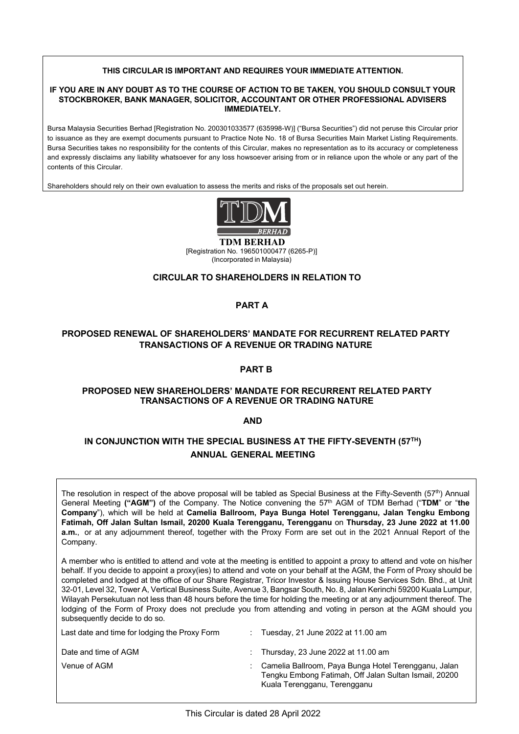#### **THIS CIRCULAR IS IMPORTANT AND REQUIRES YOUR IMMEDIATE ATTENTION.**

#### **IF YOU ARE IN ANY DOUBT AS TO THE COURSE OF ACTION TO BE TAKEN, YOU SHOULD CONSULT YOUR STOCKBROKER, BANK MANAGER, SOLICITOR, ACCOUNTANT OR OTHER PROFESSIONAL ADVISERS IMMEDIATELY.**

Bursa Malaysia Securities Berhad [Registration No. 200301033577 (635998-W)] ("Bursa Securities") did not peruse this Circular prior to issuance as they are exempt documents pursuant to Practice Note No. 18 of Bursa Securities Main Market Listing Requirements. Bursa Securities takes no responsibility for the contents of this Circular, makes no representation as to its accuracy or completeness and expressly disclaims any liability whatsoever for any loss howsoever arising from or in reliance upon the whole or any part of the contents of this Circular.

Shareholders should rely on their own evaluation to assess the merits and risks of the proposals set out herein.



[Registration No. 196501000477 (6265-P)] (Incorporated in Malaysia)

#### **CIRCULAR TO SHAREHOLDERS IN RELATION TO**

## **PART A**

## **PROPOSED RENEWAL OF SHAREHOLDERS' MANDATE FOR RECURRENT RELATED PARTY TRANSACTIONS OF A REVENUE OR TRADING NATURE**

#### **PART B**

#### **PROPOSED NEW SHAREHOLDERS' MANDATE FOR RECURRENT RELATED PARTY TRANSACTIONS OF A REVENUE OR TRADING NATURE**

**AND**

# **IN CONJUNCTION WITH THE SPECIAL BUSINESS AT THE FIFTY-SEVENTH (57TH) ANNUAL GENERAL MEETING**

The resolution in respect of the above proposal will be tabled as Special Business at the Fifty-Seventh (57<sup>th</sup>) Annual General Meeting **("AGM")** of the Company. The Notice convening the 57th AGM of TDM Berhad ("**TDM**" or "**the Company**"), which will be held at **Camelia Ballroom, Paya Bunga Hotel Terengganu, Jalan Tengku Embong Fatimah, Off Jalan Sultan Ismail, 20200 Kuala Terengganu, Terengganu** on **Thursday, 23 June 2022 at 11.00 a.m.**, or at any adjournment thereof, together with the Proxy Form are set out in the 2021 Annual Report of the Company.

A member who is entitled to attend and vote at the meeting is entitled to appoint a proxy to attend and vote on his/her behalf. If you decide to appoint a proxy(ies) to attend and vote on your behalf at the AGM, the Form of Proxy should be completed and lodged at the office of our Share Registrar, Tricor Investor & Issuing House Services Sdn. Bhd., at Unit 32-01, Level 32, Tower A, Vertical Business Suite, Avenue 3, Bangsar South, No. 8, Jalan Kerinchi 59200 Kuala Lumpur, Wilayah Persekutuan not less than 48 hours before the time for holding the meeting or at any adjournment thereof. The lodging of the Form of Proxy does not preclude you from attending and voting in person at the AGM should you subsequently decide to do so.

| Last date and time for lodging the Proxy Form | Tuesday, 21 June 2022 at 11.00 am                                                                                                               |
|-----------------------------------------------|-------------------------------------------------------------------------------------------------------------------------------------------------|
| Date and time of AGM                          | : Thursday, 23 June 2022 at 11.00 am                                                                                                            |
| Venue of AGM                                  | : Camelia Ballroom, Paya Bunga Hotel Terengganu, Jalan<br>Tengku Embong Fatimah, Off Jalan Sultan Ismail, 20200<br>Kuala Terengganu, Terengganu |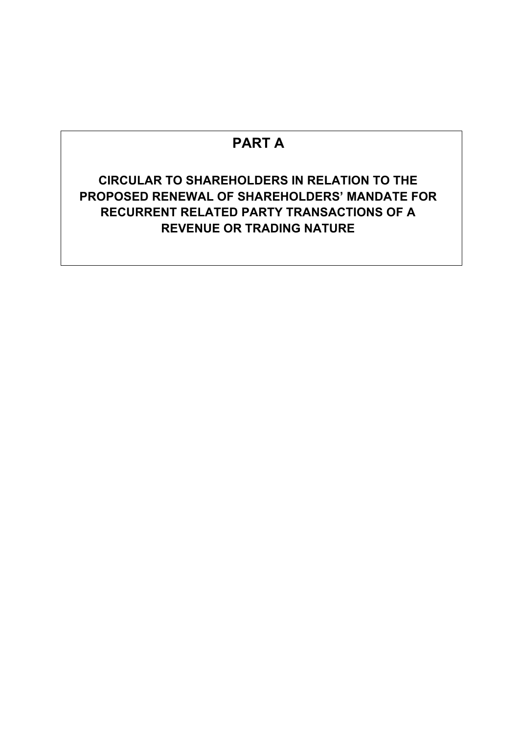# **PART A**

# **CIRCULAR TO SHAREHOLDERS IN RELATION TO THE PROPOSED RENEWAL OF SHAREHOLDERS' MANDATE FOR RECURRENT RELATED PARTY TRANSACTIONS OF A REVENUE OR TRADING NATURE**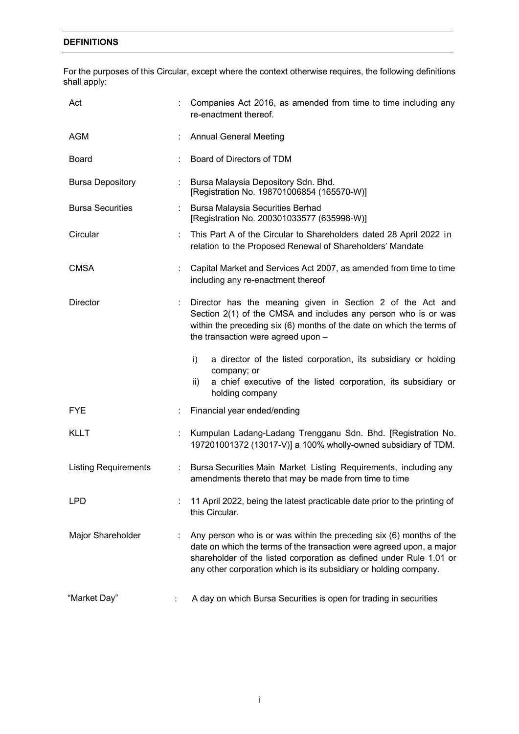## **DEFINITIONS**

For the purposes of this Circular, except where the context otherwise requires, the following definitions shall apply:

| Act                         |                              | Companies Act 2016, as amended from time to time including any<br>re-enactment thereof.                                                                                                                                                                                                 |
|-----------------------------|------------------------------|-----------------------------------------------------------------------------------------------------------------------------------------------------------------------------------------------------------------------------------------------------------------------------------------|
| <b>AGM</b>                  |                              | <b>Annual General Meeting</b>                                                                                                                                                                                                                                                           |
| <b>Board</b>                |                              | Board of Directors of TDM                                                                                                                                                                                                                                                               |
| <b>Bursa Depository</b>     | $\mathcal{L}_{\mathrm{max}}$ | Bursa Malaysia Depository Sdn. Bhd.<br>[Registration No. 198701006854 (165570-W)]                                                                                                                                                                                                       |
| <b>Bursa Securities</b>     | $\mathbb{Z}^{\mathbb{Z}}$    | <b>Bursa Malaysia Securities Berhad</b><br>[Registration No. 200301033577 (635998-W)]                                                                                                                                                                                                   |
| Circular                    |                              | This Part A of the Circular to Shareholders dated 28 April 2022 in<br>relation to the Proposed Renewal of Shareholders' Mandate                                                                                                                                                         |
| <b>CMSA</b>                 |                              | Capital Market and Services Act 2007, as amended from time to time<br>including any re-enactment thereof                                                                                                                                                                                |
| <b>Director</b>             | ÷                            | Director has the meaning given in Section 2 of the Act and<br>Section 2(1) of the CMSA and includes any person who is or was<br>within the preceding six (6) months of the date on which the terms of<br>the transaction were agreed upon -                                             |
|                             |                              | i)<br>a director of the listed corporation, its subsidiary or holding<br>company; or<br>a chief executive of the listed corporation, its subsidiary or<br>ii)<br>holding company                                                                                                        |
| <b>FYE</b>                  |                              | Financial year ended/ending                                                                                                                                                                                                                                                             |
| <b>KLLT</b>                 |                              | Kumpulan Ladang-Ladang Trengganu Sdn. Bhd. [Registration No.<br>197201001372 (13017-V)] a 100% wholly-owned subsidiary of TDM.                                                                                                                                                          |
| <b>Listing Requirements</b> | ÷                            | Bursa Securities Main Market Listing Requirements, including any<br>amendments thereto that may be made from time to time                                                                                                                                                               |
| <b>LPD</b>                  |                              | 11 April 2022, being the latest practicable date prior to the printing of<br>this Circular.                                                                                                                                                                                             |
| Major Shareholder           | ÷                            | Any person who is or was within the preceding six (6) months of the<br>date on which the terms of the transaction were agreed upon, a major<br>shareholder of the listed corporation as defined under Rule 1.01 or<br>any other corporation which is its subsidiary or holding company. |
| "Market Day"                |                              | A day on which Bursa Securities is open for trading in securities                                                                                                                                                                                                                       |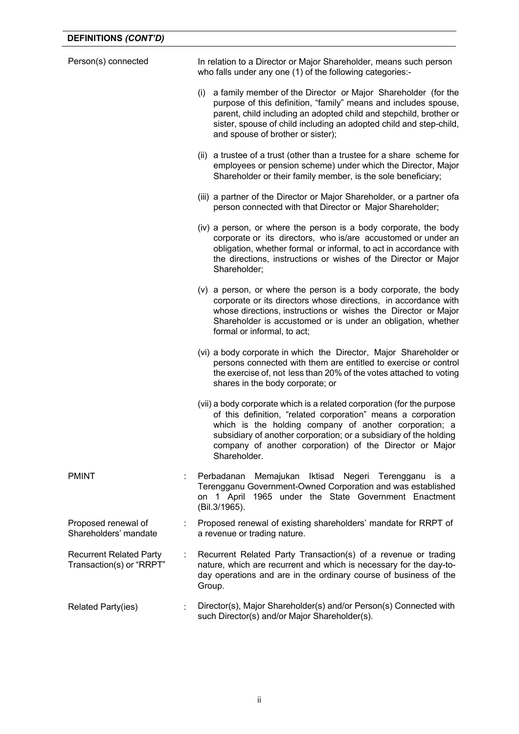| Person(s) connected                                        |    | In relation to a Director or Major Shareholder, means such person<br>who falls under any one (1) of the following categories:-                                                                                                                                                                                                                     |
|------------------------------------------------------------|----|----------------------------------------------------------------------------------------------------------------------------------------------------------------------------------------------------------------------------------------------------------------------------------------------------------------------------------------------------|
|                                                            |    | a family member of the Director or Major Shareholder (for the<br>(i)<br>purpose of this definition, "family" means and includes spouse,<br>parent, child including an adopted child and stepchild, brother or<br>sister, spouse of child including an adopted child and step-child,<br>and spouse of brother or sister);                           |
|                                                            |    | (ii) a trustee of a trust (other than a trustee for a share scheme for<br>employees or pension scheme) under which the Director, Major<br>Shareholder or their family member, is the sole beneficiary;                                                                                                                                             |
|                                                            |    | (iii) a partner of the Director or Major Shareholder, or a partner ofa<br>person connected with that Director or Major Shareholder;                                                                                                                                                                                                                |
|                                                            |    | (iv) a person, or where the person is a body corporate, the body<br>corporate or its directors, who is/are accustomed or under an<br>obligation, whether formal or informal, to act in accordance with<br>the directions, instructions or wishes of the Director or Major<br>Shareholder;                                                          |
|                                                            |    | (v) a person, or where the person is a body corporate, the body<br>corporate or its directors whose directions, in accordance with<br>whose directions, instructions or wishes the Director or Major<br>Shareholder is accustomed or is under an obligation, whether<br>formal or informal, to act;                                                |
|                                                            |    | (vi) a body corporate in which the Director, Major Shareholder or<br>persons connected with them are entitled to exercise or control<br>the exercise of, not less than 20% of the votes attached to voting<br>shares in the body corporate; or                                                                                                     |
|                                                            |    | (vii) a body corporate which is a related corporation (for the purpose<br>of this definition, "related corporation" means a corporation<br>which is the holding company of another corporation; a<br>subsidiary of another corporation; or a subsidiary of the holding<br>company of another corporation) of the Director or Major<br>Shareholder. |
| <b>PMINT</b>                                               |    | Perbadanan<br>Memajukan Iktisad<br>Negeri Terengganu<br>is a<br>Terengganu Government-Owned Corporation and was established<br>on 1 April 1965 under the State Government Enactment<br>(Bil.3/1965).                                                                                                                                               |
| Proposed renewal of<br>Shareholders' mandate               | t. | Proposed renewal of existing shareholders' mandate for RRPT of<br>a revenue or trading nature.                                                                                                                                                                                                                                                     |
| <b>Recurrent Related Party</b><br>Transaction(s) or "RRPT" | t  | Recurrent Related Party Transaction(s) of a revenue or trading<br>nature, which are recurrent and which is necessary for the day-to-<br>day operations and are in the ordinary course of business of the<br>Group.                                                                                                                                 |
| <b>Related Party(ies)</b>                                  |    | Director(s), Major Shareholder(s) and/or Person(s) Connected with<br>such Director(s) and/or Major Shareholder(s).                                                                                                                                                                                                                                 |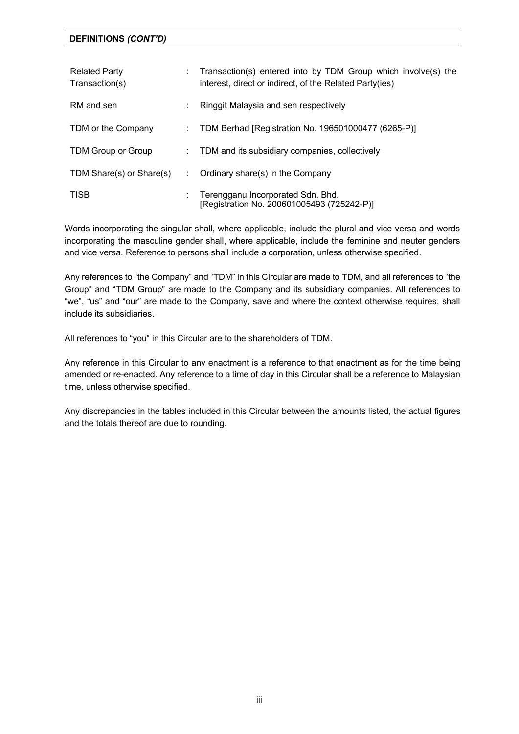| <b>Related Party</b><br>Transaction(s) | Transaction(s) entered into by TDM Group which involve(s) the<br>interest, direct or indirect, of the Related Party(ies) |
|----------------------------------------|--------------------------------------------------------------------------------------------------------------------------|
| RM and sen                             | Ringgit Malaysia and sen respectively                                                                                    |
| TDM or the Company                     | TDM Berhad [Registration No. 196501000477 (6265-P)]                                                                      |
| TDM Group or Group                     | TDM and its subsidiary companies, collectively                                                                           |
| TDM Share(s) or Share(s)               | Ordinary share(s) in the Company                                                                                         |
| <b>TISB</b>                            | Terengganu Incorporated Sdn. Bhd.<br>[Registration No. 200601005493 (725242-P)]                                          |

Words incorporating the singular shall, where applicable, include the plural and vice versa and words incorporating the masculine gender shall, where applicable, include the feminine and neuter genders and vice versa. Reference to persons shall include a corporation, unless otherwise specified.

Any references to "the Company" and "TDM" in this Circular are made to TDM, and all references to "the Group" and "TDM Group" are made to the Company and its subsidiary companies. All references to "we", "us" and "our" are made to the Company, save and where the context otherwise requires, shall include its subsidiaries.

All references to "you" in this Circular are to the shareholders of TDM.

Any reference in this Circular to any enactment is a reference to that enactment as for the time being amended or re-enacted. Any reference to a time of day in this Circular shall be a reference to Malaysian time, unless otherwise specified.

Any discrepancies in the tables included in this Circular between the amounts listed, the actual figures and the totals thereof are due to rounding.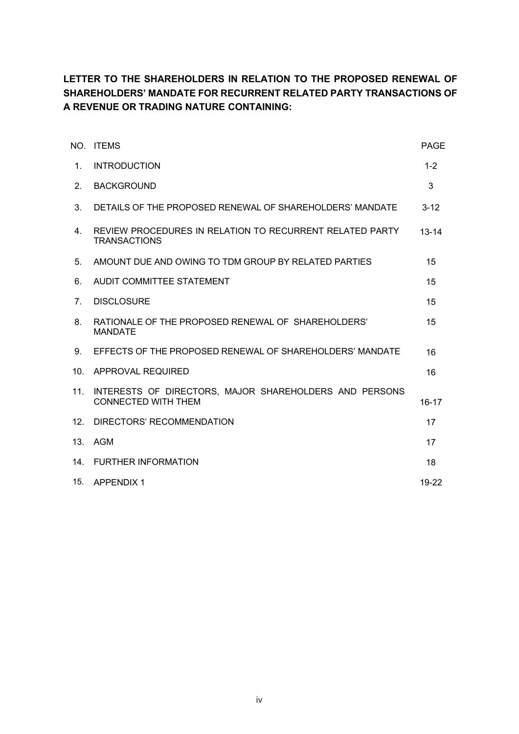# **LETTER TO THE SHAREHOLDERS IN RELATION TO THE PROPOSED RENEWAL OF SHAREHOLDERS' MANDATE FOR RECURRENT RELATED PARTY TRANSACTIONS OF A REVENUE OR TRADING NATURE CONTAINING:**

|                                  | NO. ITEMS                                                                            | <b>PAGE</b> |
|----------------------------------|--------------------------------------------------------------------------------------|-------------|
| 1.                               | <b>INTRODUCTION</b>                                                                  | $1 - 2$     |
| 2.                               | <b>BACKGROUND</b>                                                                    | 3           |
| 3.                               | DETAILS OF THE PROPOSED RENEWAL OF SHAREHOLDERS' MANDATE                             | $3 - 12$    |
| $4_{\cdot}$                      | REVIEW PROCEDURES IN RELATION TO RECURRENT RELATED PARTY<br><b>TRANSACTIONS</b>      | $13 - 14$   |
| 5.                               | AMOUNT DUE AND OWING TO TDM GROUP BY RELATED PARTIES                                 | 15          |
| 6.                               | AUDIT COMMITTEE STATEMENT                                                            | 15          |
| $7_{\scriptscriptstyle{\ddots}}$ | <b>DISCLOSURE</b>                                                                    | 15          |
| 8.                               | RATIONALE OF THE PROPOSED RENEWAL OF SHAREHOLDERS'<br><b>MANDATE</b>                 | 15          |
| 9.                               | EFFECTS OF THE PROPOSED RENEWAL OF SHAREHOLDERS' MANDATE                             | 16          |
| 10 <sub>1</sub>                  | APPROVAL REQUIRED                                                                    | 16          |
| 11.                              | INTERESTS OF DIRECTORS, MAJOR SHAREHOLDERS AND PERSONS<br><b>CONNECTED WITH THEM</b> | $16 - 17$   |
| 12.                              | DIRECTORS' RECOMMENDATION                                                            | 17          |
| 13.                              | <b>AGM</b>                                                                           | 17          |
| 14.                              | <b>FURTHER INFORMATION</b>                                                           | 18          |
| 15.                              | APPENDIX 1                                                                           | 19-22       |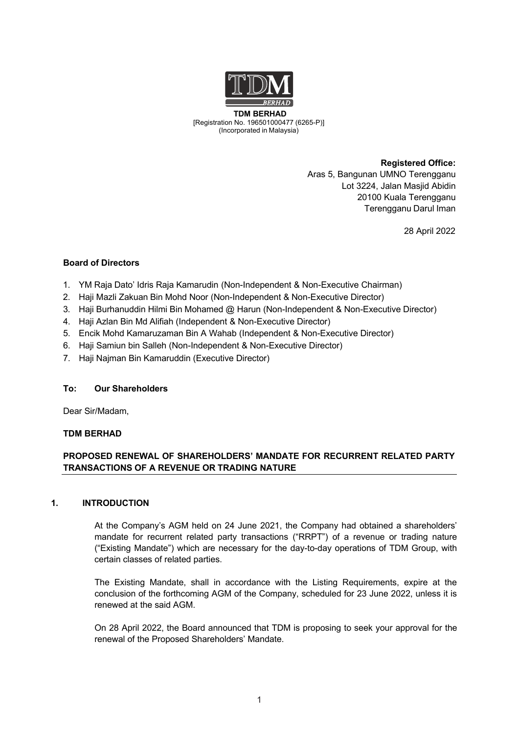

**TDM BERHAD** (6265-P)[Registration No. 196501000477 (6265-P)] (Incorporated in Malaysia)

> **Registered Office:** Aras 5, Bangunan UMNO Terengganu Lot 3224, Jalan Masjid Abidin 20100 Kuala Terengganu Terengganu Darul Iman

> > 28 April 2022

## **Board of Directors**

- 1. YM Raja Dato' Idris Raja Kamarudin (Non-Independent & Non-Executive Chairman)
- 2. Haji Mazli Zakuan Bin Mohd Noor (Non-Independent & Non-Executive Director)
- 3. Haji Burhanuddin Hilmi Bin Mohamed @ Harun (Non-Independent & Non-Executive Director)
- 4. Haji Azlan Bin Md Alifiah (Independent & Non-Executive Director)
- 5. Encik Mohd Kamaruzaman Bin A Wahab (Independent & Non-Executive Director)
- 6. Haji Samiun bin Salleh (Non-Independent & Non-Executive Director)
- 7. Haji Najman Bin Kamaruddin (Executive Director)

## **To: Our Shareholders**

Dear Sir/Madam,

## **TDM BERHAD**

## **PROPOSED RENEWAL OF SHAREHOLDERS' MANDATE FOR RECURRENT RELATED PARTY TRANSACTIONS OF A REVENUE OR TRADING NATURE**

## **1. INTRODUCTION**

At the Company's AGM held on 24 June 2021, the Company had obtained a shareholders' mandate for recurrent related party transactions ("RRPT") of a revenue or trading nature ("Existing Mandate") which are necessary for the day-to-day operations of TDM Group, with certain classes of related parties.

The Existing Mandate, shall in accordance with the Listing Requirements, expire at the conclusion of the forthcoming AGM of the Company, scheduled for 23 June 2022, unless it is renewed at the said AGM.

On 28 April 2022, the Board announced that TDM is proposing to seek your approval for the renewal of the Proposed Shareholders' Mandate.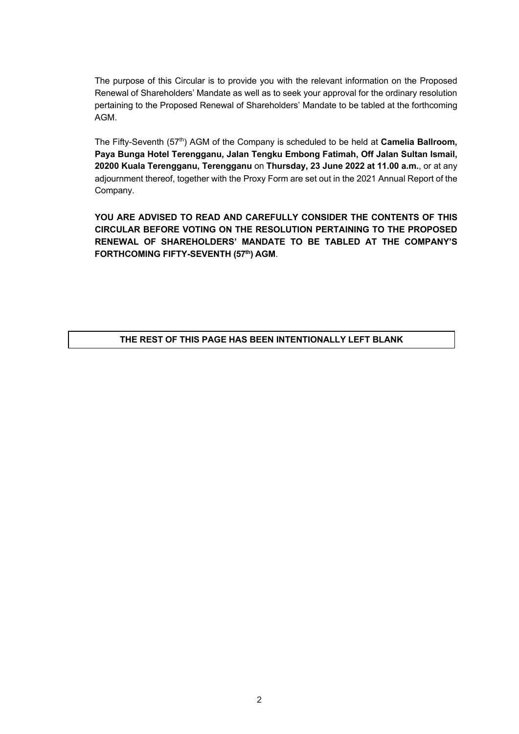The purpose of this Circular is to provide you with the relevant information on the Proposed Renewal of Shareholders' Mandate as well as to seek your approval for the ordinary resolution pertaining to the Proposed Renewal of Shareholders' Mandate to be tabled at the forthcoming AGM.

The Fifty-Seventh (57<sup>th</sup>) AGM of the Company is scheduled to be held at **Camelia Ballroom, Paya Bunga Hotel Terengganu, Jalan Tengku Embong Fatimah, Off Jalan Sultan Ismail, 20200 Kuala Terengganu, Terengganu** on **Thursday, 23 June 2022 at 11.00 a.m.**, or at any adjournment thereof, together with the Proxy Form are set out in the 2021 Annual Report of the Company.

**YOU ARE ADVISED TO READ AND CAREFULLY CONSIDER THE CONTENTS OF THIS CIRCULAR BEFORE VOTING ON THE RESOLUTION PERTAINING TO THE PROPOSED RENEWAL OF SHAREHOLDERS' MANDATE TO BE TABLED AT THE COMPANY'S FORTHCOMING FIFTY-SEVENTH (57th) AGM**.

# **THE REST OF THIS PAGE HAS BEEN INTENTIONALLY LEFT BLANK**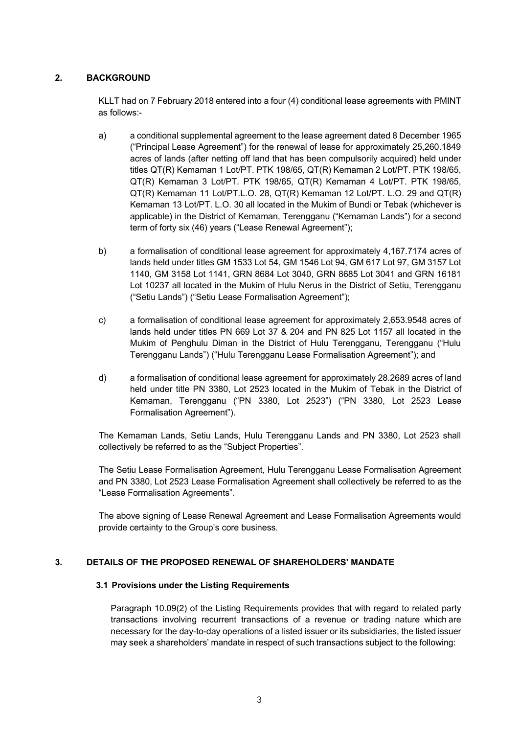## **2. BACKGROUND**

KLLT had on 7 February 2018 entered into a four (4) conditional lease agreements with PMINT as follows:-

- a) a conditional supplemental agreement to the lease agreement dated 8 December 1965 ("Principal Lease Agreement") for the renewal of lease for approximately 25,260.1849 acres of lands (after netting off land that has been compulsorily acquired) held under titles QT(R) Kemaman 1 Lot/PT. PTK 198/65, QT(R) Kemaman 2 Lot/PT. PTK 198/65, QT(R) Kemaman 3 Lot/PT. PTK 198/65, QT(R) Kemaman 4 Lot/PT. PTK 198/65, QT(R) Kemaman 11 Lot/PT.L.O. 28, QT(R) Kemaman 12 Lot/PT. L.O. 29 and QT(R) Kemaman 13 Lot/PT. L.O. 30 all located in the Mukim of Bundi or Tebak (whichever is applicable) in the District of Kemaman, Terengganu ("Kemaman Lands") for a second term of forty six (46) years ("Lease Renewal Agreement");
- b) a formalisation of conditional lease agreement for approximately 4,167.7174 acres of lands held under titles GM 1533 Lot 54, GM 1546 Lot 94, GM 617 Lot 97, GM 3157 Lot 1140, GM 3158 Lot 1141, GRN 8684 Lot 3040, GRN 8685 Lot 3041 and GRN 16181 Lot 10237 all located in the Mukim of Hulu Nerus in the District of Setiu, Terengganu ("Setiu Lands") ("Setiu Lease Formalisation Agreement");
- c) a formalisation of conditional lease agreement for approximately 2,653.9548 acres of lands held under titles PN 669 Lot 37 & 204 and PN 825 Lot 1157 all located in the Mukim of Penghulu Diman in the District of Hulu Terengganu, Terengganu ("Hulu Terengganu Lands") ("Hulu Terengganu Lease Formalisation Agreement"); and
- d) a formalisation of conditional lease agreement for approximately 28.2689 acres of land held under title PN 3380, Lot 2523 located in the Mukim of Tebak in the District of Kemaman, Terengganu ("PN 3380, Lot 2523") ("PN 3380, Lot 2523 Lease Formalisation Agreement").

The Kemaman Lands, Setiu Lands, Hulu Terengganu Lands and PN 3380, Lot 2523 shall collectively be referred to as the "Subject Properties".

The Setiu Lease Formalisation Agreement, Hulu Terengganu Lease Formalisation Agreement and PN 3380, Lot 2523 Lease Formalisation Agreement shall collectively be referred to as the "Lease Formalisation Agreements".

The above signing of Lease Renewal Agreement and Lease Formalisation Agreements would provide certainty to the Group's core business.

## **3. DETAILS OF THE PROPOSED RENEWAL OF SHAREHOLDERS' MANDATE**

## **3.1 Provisions under the Listing Requirements**

Paragraph 10.09(2) of the Listing Requirements provides that with regard to related party transactions involving recurrent transactions of a revenue or trading nature which are necessary for the day-to-day operations of a listed issuer or its subsidiaries, the listed issuer may seek a shareholders' mandate in respect of such transactions subject to the following: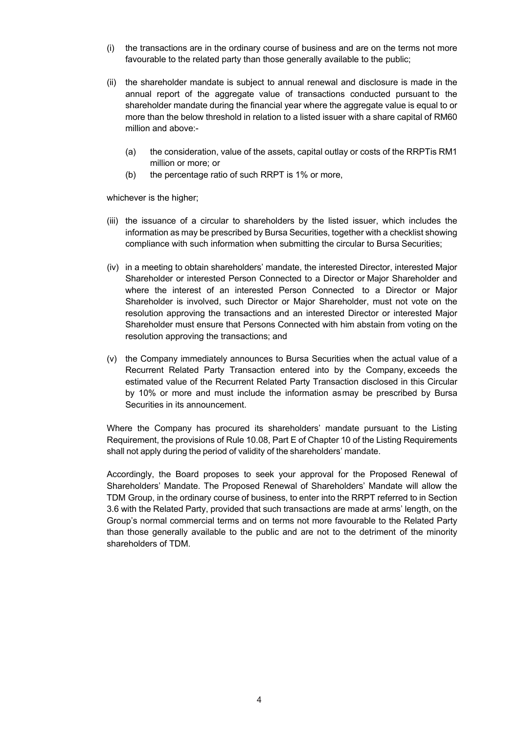- (i) the transactions are in the ordinary course of business and are on the terms not more favourable to the related party than those generally available to the public;
- (ii) the shareholder mandate is subject to annual renewal and disclosure is made in the annual report of the aggregate value of transactions conducted pursuant to the shareholder mandate during the financial year where the aggregate value is equal to or more than the below threshold in relation to a listed issuer with a share capital of RM60 million and above:-
	- (a) the consideration, value of the assets, capital outlay or costs of the RRPTis RM1 million or more; or
	- (b) the percentage ratio of such RRPT is 1% or more,

whichever is the higher;

- (iii) the issuance of a circular to shareholders by the listed issuer, which includes the information as may be prescribed by Bursa Securities, together with a checklist showing compliance with such information when submitting the circular to Bursa Securities;
- (iv) in a meeting to obtain shareholders' mandate, the interested Director, interested Major Shareholder or interested Person Connected to a Director or Major Shareholder and where the interest of an interested Person Connected to a Director or Major Shareholder is involved, such Director or Major Shareholder, must not vote on the resolution approving the transactions and an interested Director or interested Major Shareholder must ensure that Persons Connected with him abstain from voting on the resolution approving the transactions; and
- (v) the Company immediately announces to Bursa Securities when the actual value of a Recurrent Related Party Transaction entered into by the Company, exceeds the estimated value of the Recurrent Related Party Transaction disclosed in this Circular by 10% or more and must include the information asmay be prescribed by Bursa Securities in its announcement.

Where the Company has procured its shareholders' mandate pursuant to the Listing Requirement, the provisions of Rule 10.08, Part E of Chapter 10 of the Listing Requirements shall not apply during the period of validity of the shareholders' mandate.

Accordingly, the Board proposes to seek your approval for the Proposed Renewal of Shareholders' Mandate. The Proposed Renewal of Shareholders' Mandate will allow the TDM Group, in the ordinary course of business, to enter into the RRPT referred to in Section 3.6 with the Related Party, provided that such transactions are made at arms' length, on the Group's normal commercial terms and on terms not more favourable to the Related Party than those generally available to the public and are not to the detriment of the minority shareholders of TDM.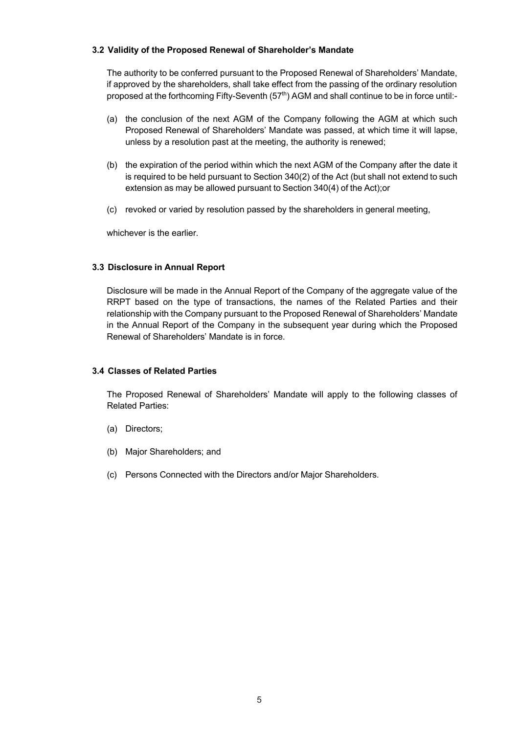## **3.2 Validity of the Proposed Renewal of Shareholder's Mandate**

The authority to be conferred pursuant to the Proposed Renewal of Shareholders' Mandate, if approved by the shareholders, shall take effect from the passing of the ordinary resolution proposed at the forthcoming Fifty-Seventh (57<sup>th</sup>) AGM and shall continue to be in force until:-

- (a) the conclusion of the next AGM of the Company following the AGM at which such Proposed Renewal of Shareholders' Mandate was passed, at which time it will lapse, unless by a resolution past at the meeting, the authority is renewed;
- (b) the expiration of the period within which the next AGM of the Company after the date it is required to be held pursuant to Section 340(2) of the Act (but shall not extend to such extension as may be allowed pursuant to Section 340(4) of the Act);or
- (c) revoked or varied by resolution passed by the shareholders in general meeting,

whichever is the earlier.

## **3.3 Disclosure in Annual Report**

Disclosure will be made in the Annual Report of the Company of the aggregate value of the RRPT based on the type of transactions, the names of the Related Parties and their relationship with the Company pursuant to the Proposed Renewal of Shareholders' Mandate in the Annual Report of the Company in the subsequent year during which the Proposed Renewal of Shareholders' Mandate is in force.

## **3.4 Classes of Related Parties**

The Proposed Renewal of Shareholders' Mandate will apply to the following classes of Related Parties:

- (a) Directors;
- (b) Major Shareholders; and
- (c) Persons Connected with the Directors and/or Major Shareholders.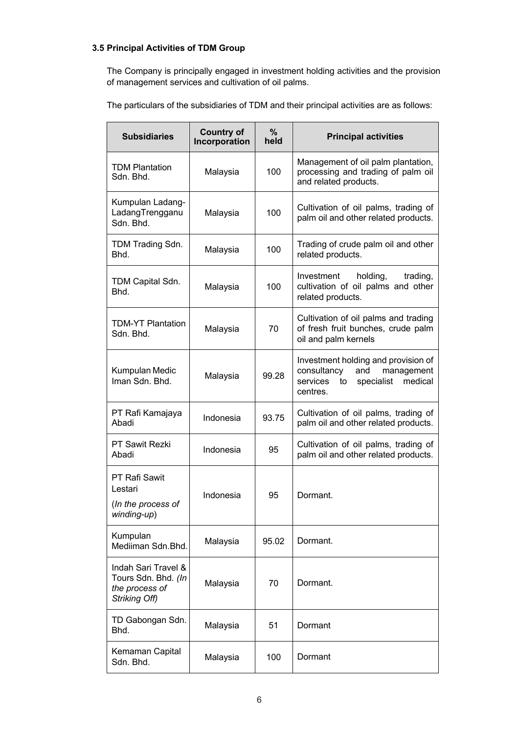## **3.5 Principal Activities of TDM Group**

The Company is principally engaged in investment holding activities and the provision of management services and cultivation of oil palms.

The particulars of the subsidiaries of TDM and their principal activities are as follows:

| <b>Subsidiaries</b>                                                           | <b>Country of</b><br>Incorporation | $\%$<br>held | <b>Principal activities</b>                                                                                                    |
|-------------------------------------------------------------------------------|------------------------------------|--------------|--------------------------------------------------------------------------------------------------------------------------------|
| <b>TDM Plantation</b><br>Sdn. Bhd.                                            | Malaysia                           | 100          | Management of oil palm plantation,<br>processing and trading of palm oil<br>and related products.                              |
| Kumpulan Ladang-<br>LadangTrengganu<br>Sdn. Bhd.                              | Malaysia                           | 100          | Cultivation of oil palms, trading of<br>palm oil and other related products.                                                   |
| TDM Trading Sdn.<br>Bhd.                                                      | Malaysia                           | 100          | Trading of crude palm oil and other<br>related products.                                                                       |
| TDM Capital Sdn.<br>Bhd.                                                      | Malaysia                           | 100          | Investment<br>holding,<br>trading,<br>cultivation of oil palms and other<br>related products.                                  |
| <b>TDM-YT Plantation</b><br>Sdn. Bhd.                                         | Malaysia                           | 70           | Cultivation of oil palms and trading<br>of fresh fruit bunches, crude palm<br>oil and palm kernels                             |
| Kumpulan Medic<br>Iman Sdn. Bhd.                                              | Malaysia                           | 99.28        | Investment holding and provision of<br>consultancy<br>and<br>management<br>specialist<br>medical<br>services<br>to<br>centres. |
| PT Rafi Kamajaya<br>Abadi                                                     | Indonesia                          | 93.75        | Cultivation of oil palms, trading of<br>palm oil and other related products.                                                   |
| <b>PT Sawit Rezki</b><br>Abadi                                                | Indonesia                          | 95           | Cultivation of oil palms, trading of<br>palm oil and other related products.                                                   |
| PT Rafi Sawit<br>Lestari<br>(In the process of<br>winding-up)                 | Indonesia                          | 95           | Dormant.                                                                                                                       |
| Kumpulan<br>Mediiman Sdn.Bhd.                                                 | Malaysia                           | 95.02        | Dormant.                                                                                                                       |
| Indah Sari Travel &<br>Tours Sdn. Bhd. (In<br>the process of<br>Striking Off) | Malaysia                           | 70           | Dormant.                                                                                                                       |
| TD Gabongan Sdn.<br>Bhd.                                                      | Malaysia                           | 51           | Dormant                                                                                                                        |
| Kemaman Capital<br>Sdn. Bhd.                                                  | Malaysia                           | 100          | Dormant                                                                                                                        |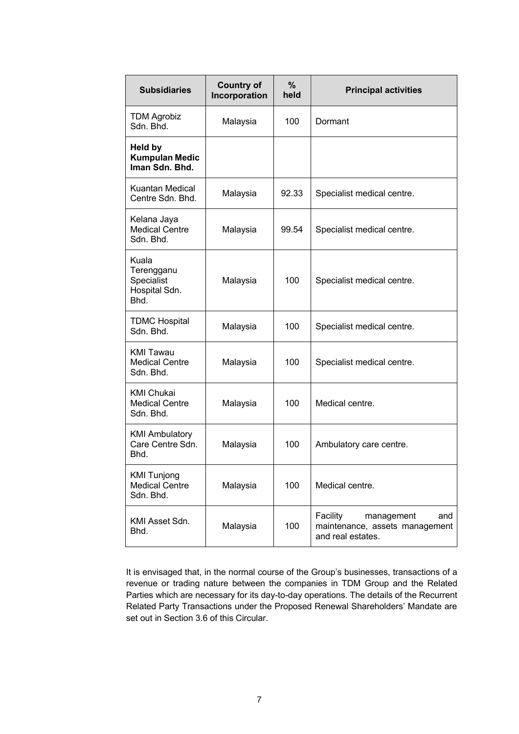| <b>Subsidiaries</b>                                        | <b>Country of</b><br>Incorporation | $\%$<br>held | <b>Principal activities</b>                                                          |
|------------------------------------------------------------|------------------------------------|--------------|--------------------------------------------------------------------------------------|
| <b>TDM Agrobiz</b><br>Sdn. Bhd.                            | Malaysia                           | 100          | Dormant                                                                              |
| Held by<br><b>Kumpulan Medic</b><br>Iman Sdn. Bhd.         |                                    |              |                                                                                      |
| Kuantan Medical<br>Centre Sdn. Bhd.                        | Malaysia                           | 92.33        | Specialist medical centre.                                                           |
| Kelana Jaya<br><b>Medical Centre</b><br>Sdn. Bhd.          | Malaysia                           | 99.54        | Specialist medical centre.                                                           |
| Kuala<br>Terengganu<br>Specialist<br>Hospital Sdn.<br>Bhd. | Malaysia                           | 100          | Specialist medical centre.                                                           |
| <b>TDMC Hospital</b><br>Sdn. Bhd.                          | Malaysia                           | 100          | Specialist medical centre.                                                           |
| <b>KMI Tawau</b><br><b>Medical Centre</b><br>Sdn. Bhd.     | Malaysia                           | 100          | Specialist medical centre.                                                           |
| <b>KMI Chukai</b><br><b>Medical Centre</b><br>Sdn. Bhd.    | Malaysia                           | 100          | Medical centre.                                                                      |
| <b>KMI Ambulatory</b><br>Care Centre Sdn.<br>Bhd.          | Malaysia                           | 100          | Ambulatory care centre.                                                              |
| <b>KMI Tunjong</b><br><b>Medical Centre</b><br>Sdn. Bhd.   | Malaysia                           | 100          | Medical centre.                                                                      |
| KMI Asset Sdn.<br>Bhd.                                     | Malaysia                           | 100          | Facility<br>management<br>and<br>maintenance, assets management<br>and real estates. |

It is envisaged that, in the normal course of the Group's businesses, transactions of a revenue or trading nature between the companies in TDM Group and the Related Parties which are necessary for its day-to-day operations. The details of the Recurrent Related Party Transactions under the Proposed Renewal Shareholders' Mandate are set out in Section 3.6 of this Circular.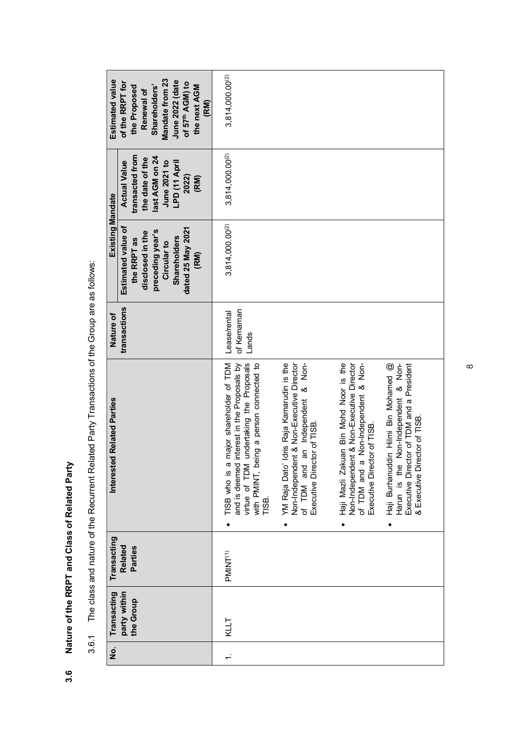Nature of the RRPT and Class of Related Party **3.6 Nature of the RRPT and Class of Related Party**  $3.\overline{6}$ 

| )<br>D<br>D<br>D<br>D<br>D |
|----------------------------|
|                            |
|                            |
| i<br>(<br>I                |
| .<br>.<br>.<br>.           |
|                            |
| l                          |
| I                          |
|                            |
|                            |
| )<br>)<br>)<br>)<br>j      |
|                            |
|                            |
| .<br>כ<br>ć<br>c<br>Í<br>ï |

| Mandate from 23<br>Estimated value<br>June 2022 (date<br>of the RRPT for<br>of 57 <sup>th</sup> AGM) to<br>Shareholders'<br>the next AGM<br>the Proposed<br>Renewal of<br>(RM) | 3,814,000.00 <sup>(2)</sup>                                                                                                                                                                                                                                                                                                                                                                                                                                                                                                                                                                                                                                                                                       |
|--------------------------------------------------------------------------------------------------------------------------------------------------------------------------------|-------------------------------------------------------------------------------------------------------------------------------------------------------------------------------------------------------------------------------------------------------------------------------------------------------------------------------------------------------------------------------------------------------------------------------------------------------------------------------------------------------------------------------------------------------------------------------------------------------------------------------------------------------------------------------------------------------------------|
| transacted from<br>last AGM on 24<br>the date of the<br>LPD (11 April<br><b>Actual Value</b><br>June 2021 to<br>2022)<br>(RM)                                                  | 3,814,000.00 <sup>(2)</sup>                                                                                                                                                                                                                                                                                                                                                                                                                                                                                                                                                                                                                                                                                       |
| <b>Existing Mandate</b><br>Estimated value of<br>dated 25 May 2021<br>preceding year's<br>disclosed in the<br><b>Shareholders</b><br>the RRPT as<br>Circular to<br>(RM)        | $3,814,000.00^{(2)}$                                                                                                                                                                                                                                                                                                                                                                                                                                                                                                                                                                                                                                                                                              |
| transactions<br>Nature of                                                                                                                                                      | of Kemaman<br>Lease/rental<br>Lands                                                                                                                                                                                                                                                                                                                                                                                                                                                                                                                                                                                                                                                                               |
| <b>Interested Related Parties</b>                                                                                                                                              | major shareholder of TDM<br>Haji Mazli Zakuan Bin Mohd Noor is the<br>Non-Independent & Non-<br>Idris Raja Kamarudin is the<br>interest in the Proposals by<br>undertaking the Proposals<br>with PMINT, being a person connected to<br>Non-Independent & Non-Executive Director<br>of TDM and a Non-Independent & Non-<br>Haji Burhanuddin Hilmi Bin Mohamed @<br>Non-Independent & Non-Executive Director<br>of TDM and an Independent & Non-<br>Executive Director of TDM and a President<br>& Executive Director of TISB.<br>Executive Director of TISB.<br>Executive Director of TISB.<br>virtue of TDM<br>TISB who is a<br>and is deemed<br>Harun is the<br>YM Raja Dato'<br>TISB.<br>$\bullet$<br>$\bullet$ |
| Transacting<br><b>Related</b><br>Parties                                                                                                                                       | PMINT <sup>(1)</sup>                                                                                                                                                                                                                                                                                                                                                                                                                                                                                                                                                                                                                                                                                              |
| party within<br>Transacting<br>the Group                                                                                                                                       | KLLT                                                                                                                                                                                                                                                                                                                                                                                                                                                                                                                                                                                                                                                                                                              |
| ġ                                                                                                                                                                              | $\div$                                                                                                                                                                                                                                                                                                                                                                                                                                                                                                                                                                                                                                                                                                            |

 $\infty$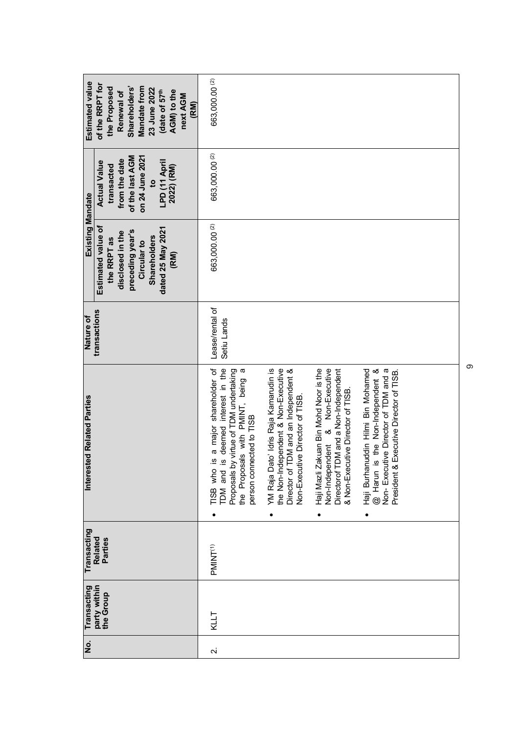| Estimated value<br>of the RRPT for<br>Shareholders'<br>Mandate from<br>the Proposed<br>23 June 2022<br>Renewal of                   | date of 57th<br>AGM) to the<br>next AGM<br>(RM) | 663,000.00 <sup>(2)</sup>                                                                                                                                                              |                                                                                                                                                         |                                                                                                                                                              |                                                                                                                                                                  |  |
|-------------------------------------------------------------------------------------------------------------------------------------|-------------------------------------------------|----------------------------------------------------------------------------------------------------------------------------------------------------------------------------------------|---------------------------------------------------------------------------------------------------------------------------------------------------------|--------------------------------------------------------------------------------------------------------------------------------------------------------------|------------------------------------------------------------------------------------------------------------------------------------------------------------------|--|
| of the last AGM<br>on 24 June 2021<br>from the date<br><b>Actual Value</b><br>transacted<br>$\mathbf{c}$                            | LPD (11 April<br>2022) (RM)                     | 663,000.00 <sup>(2)</sup>                                                                                                                                                              |                                                                                                                                                         |                                                                                                                                                              |                                                                                                                                                                  |  |
| Existing Mandate<br>Estimated value of<br>preceding year's<br>disclosed in the<br><b>Shareholders</b><br>the RRPT as<br>Circular to | dated 25 May 2021<br>(RM)                       | 663,000.00 <sup>(2)</sup>                                                                                                                                                              |                                                                                                                                                         |                                                                                                                                                              |                                                                                                                                                                  |  |
| transactions<br>Nature of                                                                                                           |                                                 | Lease/rental of<br>Setiu Lands                                                                                                                                                         |                                                                                                                                                         |                                                                                                                                                              |                                                                                                                                                                  |  |
| <b>Interested Related Parties</b>                                                                                                   |                                                 | is a major shareholder of<br>is deemed interest in the<br>Proposals by virtue of TDM undertaking<br>the Proposals with PMINT, being<br>person connected to TISB<br>TISB who<br>TDM and | YM Raja Dato' Idris Raja Kamarudin is<br>the Non-Independent & Non-Executive<br>Director of TDM and an Independent &<br>Non-Executive Director of TISB. | Non-Executive<br>Directorof TDM and a Non-Independent<br>Haji Mazli Zakuan Bin Mohd Noor is the<br>& Non-Executive Director of TISB.<br>∞<br>Non-Independent | @ Harun is the Non-Independent &<br>Non-Executive Director of TDM and a<br>nuddin Hilmi Bin Mohamed<br>Executive Director of TISB.<br>President &<br>Haji Burhar |  |
| Transacting<br>Related<br>Parties                                                                                                   |                                                 | PMINT <sup>(1)</sup>                                                                                                                                                                   |                                                                                                                                                         |                                                                                                                                                              |                                                                                                                                                                  |  |
| party within<br>Transacting<br>the Group                                                                                            |                                                 | KLLT                                                                                                                                                                                   |                                                                                                                                                         |                                                                                                                                                              |                                                                                                                                                                  |  |
| No.                                                                                                                                 |                                                 | $\sim$                                                                                                                                                                                 |                                                                                                                                                         |                                                                                                                                                              |                                                                                                                                                                  |  |

 $\circ$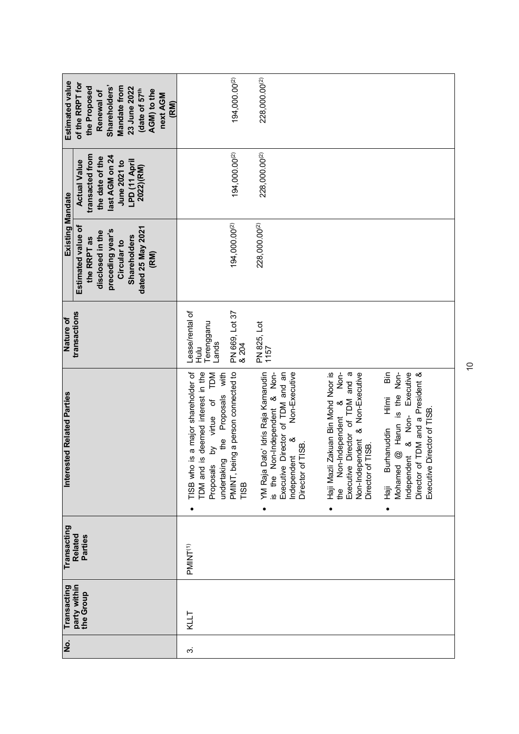| ιė. | Transacting               | Transacting          | <b>Interested Related Parties</b>                                                                                                                                                         | Nature of                                           | Existing Mandate                                                                                                                             |                                                                                                                           | <b>Estimated value</b>                                                                                                                                         |
|-----|---------------------------|----------------------|-------------------------------------------------------------------------------------------------------------------------------------------------------------------------------------------|-----------------------------------------------------|----------------------------------------------------------------------------------------------------------------------------------------------|---------------------------------------------------------------------------------------------------------------------------|----------------------------------------------------------------------------------------------------------------------------------------------------------------|
|     | party within<br>the Group | Related<br>Parties   |                                                                                                                                                                                           | transactions                                        | Estimated value of<br>dated 25 May 2021<br>preceding year's<br>disclosed in the<br><b>Shareholders</b><br>the RRPT as<br>Circular to<br>(RM) | transacted from<br>last AGM on 24<br>the date of the<br>LPD (11 April<br><b>Actual Value</b><br>June 2021 to<br>2022)(RM) | of the RRPT for<br>Shareholders'<br>the Proposed<br>Mandate from<br>23 June 2022<br>(date of 57 <sup>th</sup><br>AGM) to the<br>Renewal of<br>next AGM<br>(RM) |
| က   | KLLT                      | PMINT <sup>(1)</sup> | is a major shareholder of<br>TDM and is deemed interest in the<br>by virtue of TDM<br>undertaking the Proposals with<br>TISB who<br>Proposals                                             | Lease/rental of<br>Terengganu<br>Lands<br>Hulu<br>H |                                                                                                                                              |                                                                                                                           |                                                                                                                                                                |
|     |                           |                      | PMINT, being a person connected to<br>TISB                                                                                                                                                | PN 669, Lot 37<br>& 204                             | 194,000.00(2)                                                                                                                                | 194,000.00(2)                                                                                                             | 194,000.00 <sup>(2)</sup>                                                                                                                                      |
|     |                           |                      | YM Raja Dato' Idris Raja Kamarudin<br>is the Non-Independent & Non-<br>Non-Executive<br>Executive Director of TDM and an<br>∞<br>Director of TISB.<br>Independent                         | PN 825, Lot<br>1157                                 | 228,000.00(2)                                                                                                                                | 228,000.00(2)                                                                                                             | 228,000.00 <sup>(2)</sup>                                                                                                                                      |
|     |                           |                      | Zakuan Bin Mohd Noor is<br>Non-<br>Non-Independent & Non-Executive<br>Executive Director of TDM and a<br>the Non-Independent &<br>Director of TISB.<br>Haji Mazli                         |                                                     |                                                                                                                                              |                                                                                                                           |                                                                                                                                                                |
|     |                           |                      | Independent & Non- Executive<br>iã<br>@ Harun is the Non-<br>Director of TDM and a President &<br>Hilmi<br>Director of TISB.<br>Burhanuddin<br>Mohamed<br>Executive<br>$\frac{1}{2}$<br>٠ |                                                     |                                                                                                                                              |                                                                                                                           |                                                                                                                                                                |

 $\tilde{0}$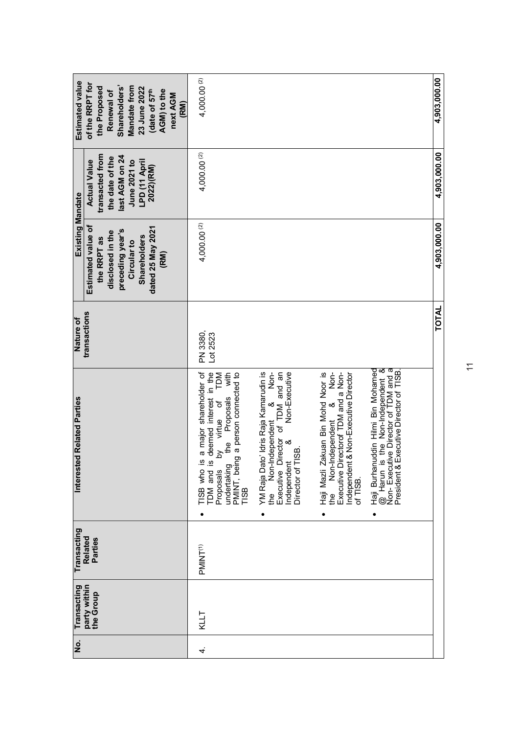| Estimated value                   | of the RRPT for<br>Shareholders'<br>Mandate from<br>the Proposed<br>23 June 2022<br>AGM) to the<br>(date of 57 <sup>th</sup><br>Renewal of<br>next AGM<br>(RM) | 4,000.00 (2)                                                                                                                                                   |                                                                                                                                                                                                 |                                                                                                                                                                             |                                                                                                                                                           | 4,903,000.00 |
|-----------------------------------|----------------------------------------------------------------------------------------------------------------------------------------------------------------|----------------------------------------------------------------------------------------------------------------------------------------------------------------|-------------------------------------------------------------------------------------------------------------------------------------------------------------------------------------------------|-----------------------------------------------------------------------------------------------------------------------------------------------------------------------------|-----------------------------------------------------------------------------------------------------------------------------------------------------------|--------------|
|                                   | transacted from<br>last AGM on 24<br>the date of the<br>June 2021 to<br>LPD (11 April<br><b>Actual Value</b><br>2022)(RM)                                      | 4,000.00 (2)                                                                                                                                                   |                                                                                                                                                                                                 |                                                                                                                                                                             |                                                                                                                                                           | 4,903,000.00 |
| Existing Mandate                  | Estimated value of<br>dated 25 May 2021<br>preceding year's<br>disclosed in the<br><b>Shareholders</b><br>the RRPT as<br>Circular to<br>(RM)                   | 4,000.00 (2)                                                                                                                                                   |                                                                                                                                                                                                 |                                                                                                                                                                             |                                                                                                                                                           | 4,903,000.00 |
| Nature of                         | transactions                                                                                                                                                   | PN 3380,<br>Lot 2523                                                                                                                                           |                                                                                                                                                                                                 |                                                                                                                                                                             |                                                                                                                                                           | TOTAL        |
| <b>Interested Related Parties</b> |                                                                                                                                                                | s deemed interest in the<br>by virtue of TDM<br>s a major shareholder of<br>with<br>Proposals<br>the<br>E<br>undertaking<br>TDM and i<br>TISB who<br>Proposals | Independent & Non-<br>Director of TDM and an<br>YM Raja Dato' Idris Raja Kamarudin is<br>Non-Executive<br>the Non-Independent<br>Independent &<br>Director of TISB.<br>Executive I<br>$\bullet$ | Non-Independent & Non-<br>Haji Mazli Zakuan Bin Mohd Noor is<br>Executive Directorof TDM and a Non-<br>Independent & Non-Executive Director<br>of TISB.<br>the<br>$\bullet$ | Haji Burhanuddin Hilmi Bin Mohamed<br>@ Harun is the Non-Independent &<br>Non- Executive Director of TDM and a<br>President & Executive Director of TISB. |              |
| Transacting                       | Related<br>Parties                                                                                                                                             | PMINT <sup>(1)</sup>                                                                                                                                           |                                                                                                                                                                                                 |                                                                                                                                                                             |                                                                                                                                                           |              |
| Transacting                       | party within<br>the Group                                                                                                                                      | <b>KLLT</b>                                                                                                                                                    |                                                                                                                                                                                                 |                                                                                                                                                                             |                                                                                                                                                           |              |
| $\frac{1}{2}$                     |                                                                                                                                                                | 4.                                                                                                                                                             |                                                                                                                                                                                                 |                                                                                                                                                                             |                                                                                                                                                           |              |

 $\overline{1}$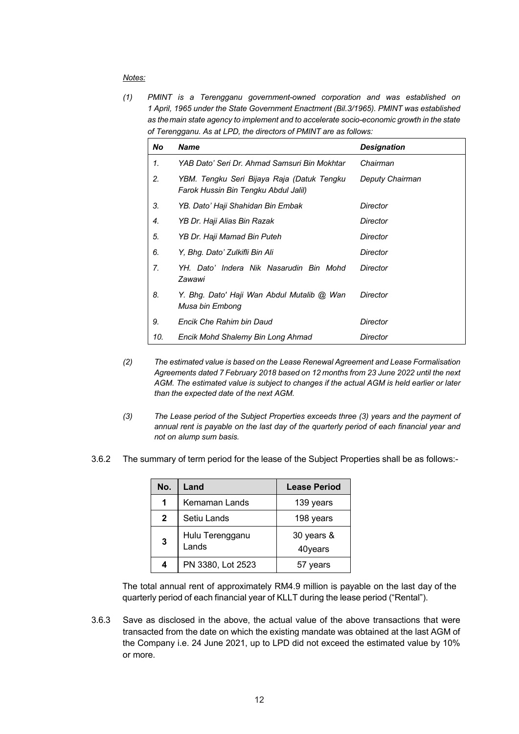#### *Notes:*

*(1) PMINT is a Terengganu government-owned corporation and was established on 1 April, 1965 under the State Government Enactment (Bil.3/1965). PMINT was established as the main state agency to implement and to accelerate socio-economic growth in the state of Terengganu. As at LPD, the directors of PMINT are as follows:*

| No             | <b>Name</b>                                                                        | <b>Designation</b> |
|----------------|------------------------------------------------------------------------------------|--------------------|
| 1.             | YAB Dato' Seri Dr. Ahmad Samsuri Bin Mokhtar                                       | Chairman           |
| 2.             | YBM. Tengku Seri Bijaya Raja (Datuk Tengku<br>Farok Hussin Bin Tengku Abdul Jalil) | Deputy Chairman    |
| 3.             | YB. Dato' Haji Shahidan Bin Embak                                                  | Director           |
| 4.             | YB Dr. Haji Alias Bin Razak                                                        | Director           |
| 5.             | YB Dr. Haji Mamad Bin Puteh                                                        | <b>Director</b>    |
| 6.             | Y, Bhg. Dato' Zulkifli Bin Ali                                                     | Director           |
| 7 <sub>1</sub> | YH. Dato' Indera Nik Nasarudin Bin Mohd<br>Zawawi                                  | Director           |
| 8.             | Y. Bhg. Dato' Haji Wan Abdul Mutalib @ Wan<br>Musa bin Embong                      | Director           |
| 9.             | Encik Che Rahim bin Daud                                                           | Director           |
| 10.            | Encik Mohd Shalemy Bin Long Ahmad                                                  | Director           |

- *(2) The estimated value is based on the Lease Renewal Agreement and Lease Formalisation Agreements dated 7 February 2018 based on 12 months from 23 June 2022 until the next AGM. The estimated value is subject to changes if the actual AGM is held earlier or later than the expected date of the next AGM.*
- *(3) The Lease period of the Subject Properties exceeds three (3) years and the payment of annual rent is payable on the last day of the quarterly period of each financial year and not on alump sum basis.*
- 3.6.2 The summary of term period for the lease of the Subject Properties shall be as follows:-

| No.          | Land                     | <b>Lease Period</b>   |
|--------------|--------------------------|-----------------------|
| 1            | Kemaman Lands            | 139 years             |
| $\mathbf{2}$ | Setiu Lands              | 198 years             |
| 3            | Hulu Terengganu<br>Lands | 30 years &<br>40years |
|              | PN 3380, Lot 2523        | vears                 |

The total annual rent of approximately RM4.9 million is payable on the last day of the quarterly period of each financial year of KLLT during the lease period ("Rental").

3.6.3 Save as disclosed in the above, the actual value of the above transactions that were transacted from the date on which the existing mandate was obtained at the last AGM of the Company i.e. 24 June 2021, up to LPD did not exceed the estimated value by 10% or more.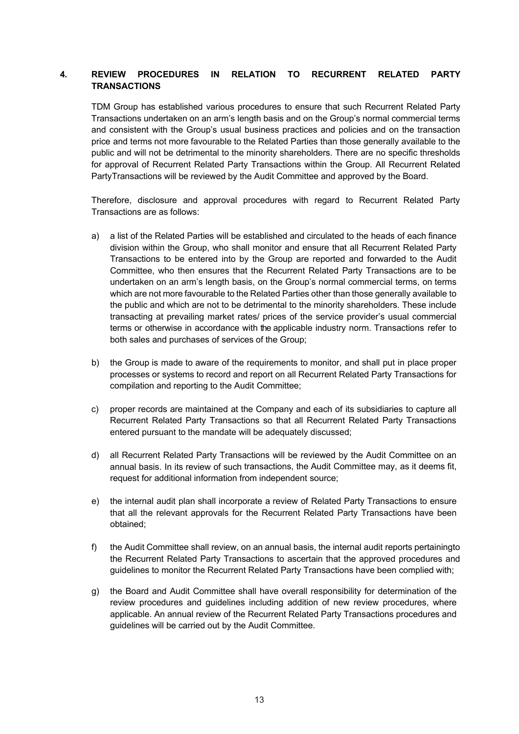## **4. REVIEW PROCEDURES IN RELATION TO RECURRENT RELATED PARTY TRANSACTIONS**

TDM Group has established various procedures to ensure that such Recurrent Related Party Transactions undertaken on an arm's length basis and on the Group's normal commercial terms and consistent with the Group's usual business practices and policies and on the transaction price and terms not more favourable to the Related Parties than those generally available to the public and will not be detrimental to the minority shareholders. There are no specific thresholds for approval of Recurrent Related Party Transactions within the Group. All Recurrent Related PartyTransactions will be reviewed by the Audit Committee and approved by the Board.

Therefore, disclosure and approval procedures with regard to Recurrent Related Party Transactions are as follows:

- a) a list of the Related Parties will be established and circulated to the heads of each finance division within the Group, who shall monitor and ensure that all Recurrent Related Party Transactions to be entered into by the Group are reported and forwarded to the Audit Committee, who then ensures that the Recurrent Related Party Transactions are to be undertaken on an arm's length basis, on the Group's normal commercial terms, on terms which are not more favourable to the Related Parties other than those generally available to the public and which are not to be detrimental to the minority shareholders. These include transacting at prevailing market rates/ prices of the service provider's usual commercial terms or otherwise in accordance with the applicable industry norm. Transactions refer to both sales and purchases of services of the Group;
- b) the Group is made to aware of the requirements to monitor, and shall put in place proper processes or systems to record and report on all Recurrent Related Party Transactions for compilation and reporting to the Audit Committee;
- c) proper records are maintained at the Company and each of its subsidiaries to capture all Recurrent Related Party Transactions so that all Recurrent Related Party Transactions entered pursuant to the mandate will be adequately discussed;
- d) all Recurrent Related Party Transactions will be reviewed by the Audit Committee on an annual basis. In its review of such transactions, the Audit Committee may, as it deems fit, request for additional information from independent source;
- e) the internal audit plan shall incorporate a review of Related Party Transactions to ensure that all the relevant approvals for the Recurrent Related Party Transactions have been obtained;
- f) the Audit Committee shall review, on an annual basis, the internal audit reports pertainingto the Recurrent Related Party Transactions to ascertain that the approved procedures and guidelines to monitor the Recurrent Related Party Transactions have been complied with;
- g) the Board and Audit Committee shall have overall responsibility for determination of the review procedures and guidelines including addition of new review procedures, where applicable. An annual review of the Recurrent Related Party Transactions procedures and guidelines will be carried out by the Audit Committee.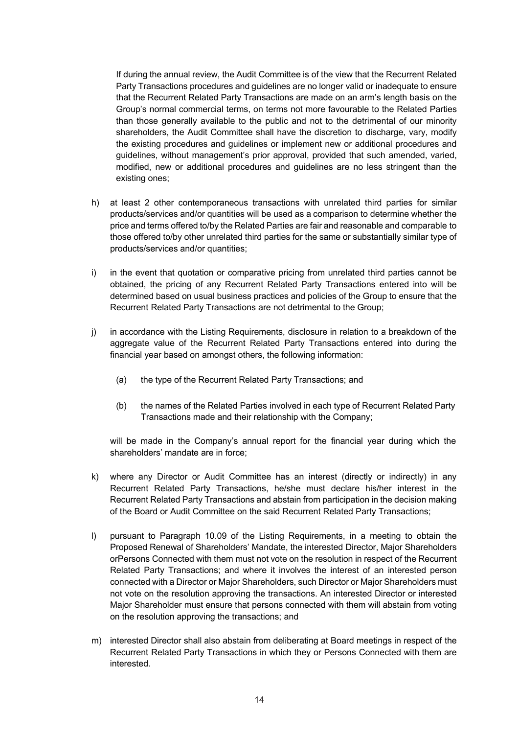If during the annual review, the Audit Committee is of the view that the Recurrent Related Party Transactions procedures and guidelines are no longer valid or inadequate to ensure that the Recurrent Related Party Transactions are made on an arm's length basis on the Group's normal commercial terms, on terms not more favourable to the Related Parties than those generally available to the public and not to the detrimental of our minority shareholders, the Audit Committee shall have the discretion to discharge, vary, modify the existing procedures and guidelines or implement new or additional procedures and guidelines, without management's prior approval, provided that such amended, varied, modified, new or additional procedures and guidelines are no less stringent than the existing ones;

- h) at least 2 other contemporaneous transactions with unrelated third parties for similar products/services and/or quantities will be used as a comparison to determine whether the price and terms offered to/by the Related Parties are fair and reasonable and comparable to those offered to/by other unrelated third parties for the same or substantially similar type of products/services and/or quantities;
- i) in the event that quotation or comparative pricing from unrelated third parties cannot be obtained, the pricing of any Recurrent Related Party Transactions entered into will be determined based on usual business practices and policies of the Group to ensure that the Recurrent Related Party Transactions are not detrimental to the Group;
- j) in accordance with the Listing Requirements, disclosure in relation to a breakdown of the aggregate value of the Recurrent Related Party Transactions entered into during the financial year based on amongst others, the following information:
	- (a) the type of the Recurrent Related Party Transactions; and
	- (b) the names of the Related Parties involved in each type of Recurrent Related Party Transactions made and their relationship with the Company;

will be made in the Company's annual report for the financial year during which the shareholders' mandate are in force;

- k) where any Director or Audit Committee has an interest (directly or indirectly) in any Recurrent Related Party Transactions, he/she must declare his/her interest in the Recurrent Related Party Transactions and abstain from participation in the decision making of the Board or Audit Committee on the said Recurrent Related Party Transactions;
- l) pursuant to Paragraph 10.09 of the Listing Requirements, in a meeting to obtain the Proposed Renewal of Shareholders' Mandate, the interested Director, Major Shareholders orPersons Connected with them must not vote on the resolution in respect of the Recurrent Related Party Transactions; and where it involves the interest of an interested person connected with a Director or Major Shareholders, such Director or Major Shareholders must not vote on the resolution approving the transactions. An interested Director or interested Major Shareholder must ensure that persons connected with them will abstain from voting on the resolution approving the transactions; and
- m) interested Director shall also abstain from deliberating at Board meetings in respect of the Recurrent Related Party Transactions in which they or Persons Connected with them are interested.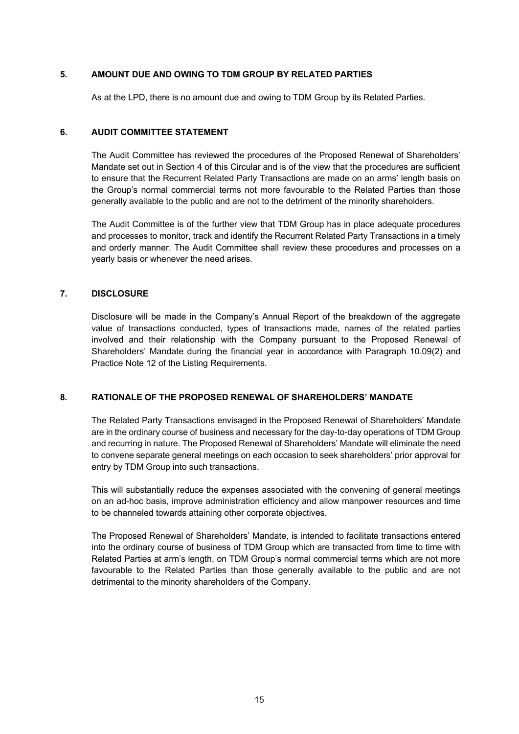## **5. AMOUNT DUE AND OWING TO TDM GROUP BY RELATED PARTIES**

As at the LPD, there is no amount due and owing to TDM Group by its Related Parties.

## **6. AUDIT COMMITTEE STATEMENT**

The Audit Committee has reviewed the procedures of the Proposed Renewal of Shareholders' Mandate set out in Section 4 of this Circular and is of the view that the procedures are sufficient to ensure that the Recurrent Related Party Transactions are made on an arms' length basis on the Group's normal commercial terms not more favourable to the Related Parties than those generally available to the public and are not to the detriment of the minority shareholders.

The Audit Committee is of the further view that TDM Group has in place adequate procedures and processes to monitor, track and identify the Recurrent Related Party Transactions in a timely and orderly manner. The Audit Committee shall review these procedures and processes on a yearly basis or whenever the need arises.

## **7. DISCLOSURE**

Disclosure will be made in the Company's Annual Report of the breakdown of the aggregate value of transactions conducted, types of transactions made, names of the related parties involved and their relationship with the Company pursuant to the Proposed Renewal of Shareholders' Mandate during the financial year in accordance with Paragraph 10.09(2) and Practice Note 12 of the Listing Requirements.

## **8. RATIONALE OF THE PROPOSED RENEWAL OF SHAREHOLDERS' MANDATE**

The Related Party Transactions envisaged in the Proposed Renewal of Shareholders' Mandate are in the ordinary course of business and necessary for the day-to-day operations of TDM Group and recurring in nature. The Proposed Renewal of Shareholders' Mandate will eliminate the need to convene separate general meetings on each occasion to seek shareholders' prior approval for entry by TDM Group into such transactions.

This will substantially reduce the expenses associated with the convening of general meetings on an ad-hoc basis, improve administration efficiency and allow manpower resources and time to be channeled towards attaining other corporate objectives.

The Proposed Renewal of Shareholders' Mandate, is intended to facilitate transactions entered into the ordinary course of business of TDM Group which are transacted from time to time with Related Parties at arm's length, on TDM Group's normal commercial terms which are not more favourable to the Related Parties than those generally available to the public and are not detrimental to the minority shareholders of the Company.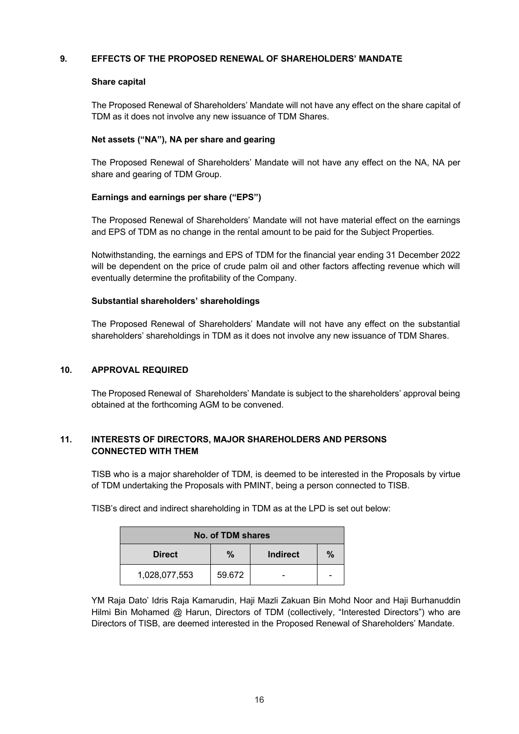## **9. EFFECTS OF THE PROPOSED RENEWAL OF SHAREHOLDERS' MANDATE**

## **Share capital**

The Proposed Renewal of Shareholders' Mandate will not have any effect on the share capital of TDM as it does not involve any new issuance of TDM Shares.

## **Net assets ("NA"), NA per share and gearing**

The Proposed Renewal of Shareholders' Mandate will not have any effect on the NA, NA per share and gearing of TDM Group.

## **Earnings and earnings per share ("EPS")**

The Proposed Renewal of Shareholders' Mandate will not have material effect on the earnings and EPS of TDM as no change in the rental amount to be paid for the Subject Properties.

Notwithstanding, the earnings and EPS of TDM for the financial year ending 31 December 2022 will be dependent on the price of crude palm oil and other factors affecting revenue which will eventually determine the profitability of the Company.

## **Substantial shareholders' shareholdings**

The Proposed Renewal of Shareholders' Mandate will not have any effect on the substantial shareholders' shareholdings in TDM as it does not involve any new issuance of TDM Shares.

## **10. APPROVAL REQUIRED**

The Proposed Renewal of Shareholders' Mandate is subject to the shareholders' approval being obtained at the forthcoming AGM to be convened.

## **11. INTERESTS OF DIRECTORS, MAJOR SHAREHOLDERS AND PERSONS CONNECTED WITH THEM**

TISB who is a major shareholder of TDM, is deemed to be interested in the Proposals by virtue of TDM undertaking the Proposals with PMINT, being a person connected to TISB.

TISB's direct and indirect shareholding in TDM as at the LPD is set out below:

| No. of TDM shares |        |          |      |  |
|-------------------|--------|----------|------|--|
| <b>Direct</b>     | %      | Indirect | $\%$ |  |
| 1,028,077,553     | 59.672 |          |      |  |

YM Raja Dato' Idris Raja Kamarudin, Haji Mazli Zakuan Bin Mohd Noor and Haji Burhanuddin Hilmi Bin Mohamed @ Harun, Directors of TDM (collectively, "Interested Directors") who are Directors of TISB, are deemed interested in the Proposed Renewal of Shareholders' Mandate.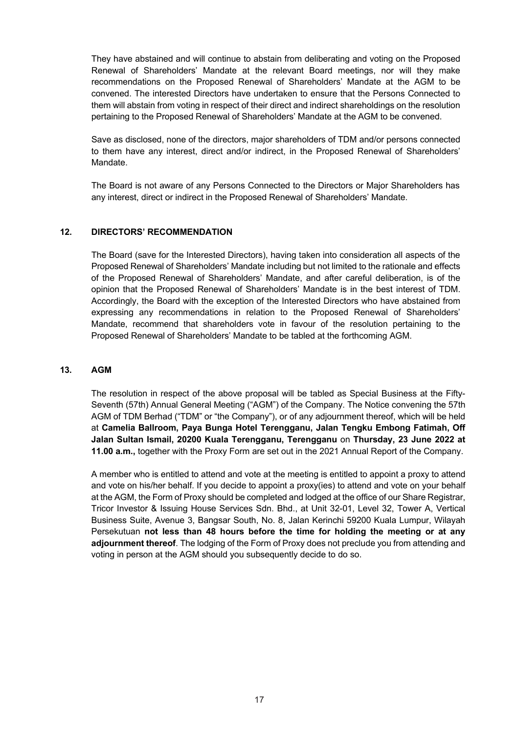They have abstained and will continue to abstain from deliberating and voting on the Proposed Renewal of Shareholders' Mandate at the relevant Board meetings, nor will they make recommendations on the Proposed Renewal of Shareholders' Mandate at the AGM to be convened. The interested Directors have undertaken to ensure that the Persons Connected to them will abstain from voting in respect of their direct and indirect shareholdings on the resolution pertaining to the Proposed Renewal of Shareholders' Mandate at the AGM to be convened.

Save as disclosed, none of the directors, major shareholders of TDM and/or persons connected to them have any interest, direct and/or indirect, in the Proposed Renewal of Shareholders' Mandate.

The Board is not aware of any Persons Connected to the Directors or Major Shareholders has any interest, direct or indirect in the Proposed Renewal of Shareholders' Mandate.

## **12. DIRECTORS' RECOMMENDATION**

The Board (save for the Interested Directors), having taken into consideration all aspects of the Proposed Renewal of Shareholders' Mandate including but not limited to the rationale and effects of the Proposed Renewal of Shareholders' Mandate, and after careful deliberation, is of the opinion that the Proposed Renewal of Shareholders' Mandate is in the best interest of TDM. Accordingly, the Board with the exception of the Interested Directors who have abstained from expressing any recommendations in relation to the Proposed Renewal of Shareholders' Mandate, recommend that shareholders vote in favour of the resolution pertaining to the Proposed Renewal of Shareholders' Mandate to be tabled at the forthcoming AGM.

## **13. AGM**

The resolution in respect of the above proposal will be tabled as Special Business at the Fifty-Seventh (57th) Annual General Meeting ("AGM") of the Company. The Notice convening the 57th AGM of TDM Berhad ("TDM" or "the Company"), or of any adjournment thereof, which will be held at **Camelia Ballroom, Paya Bunga Hotel Terengganu, Jalan Tengku Embong Fatimah, Off Jalan Sultan Ismail, 20200 Kuala Terengganu, Terengganu** on **Thursday, 23 June 2022 at 11.00 a.m.,** together with the Proxy Form are set out in the 2021 Annual Report of the Company.

A member who is entitled to attend and vote at the meeting is entitled to appoint a proxy to attend and vote on his/her behalf. If you decide to appoint a proxy(ies) to attend and vote on your behalf at the AGM, the Form of Proxy should be completed and lodged at the office of our Share Registrar, Tricor Investor & Issuing House Services Sdn. Bhd., at Unit 32-01, Level 32, Tower A, Vertical Business Suite, Avenue 3, Bangsar South, No. 8, Jalan Kerinchi 59200 Kuala Lumpur, Wilayah Persekutuan **not less than 48 hours before the time for holding the meeting or at any adjournment thereof**. The lodging of the Form of Proxy does not preclude you from attending and voting in person at the AGM should you subsequently decide to do so.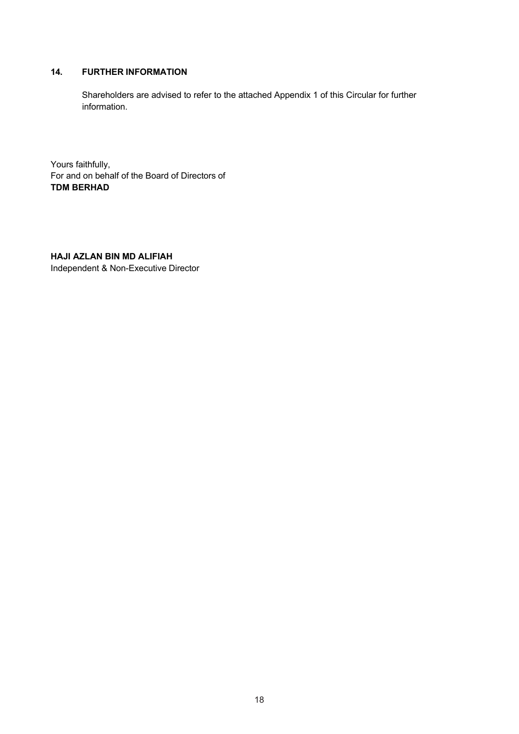## **14. FURTHER INFORMATION**

Shareholders are advised to refer to the attached Appendix 1 of this Circular for further information.

Yours faithfully, For and on behalf of the Board of Directors of **TDM BERHAD**

## **HAJI AZLAN BIN MD ALIFIAH**

Independent & Non-Executive Director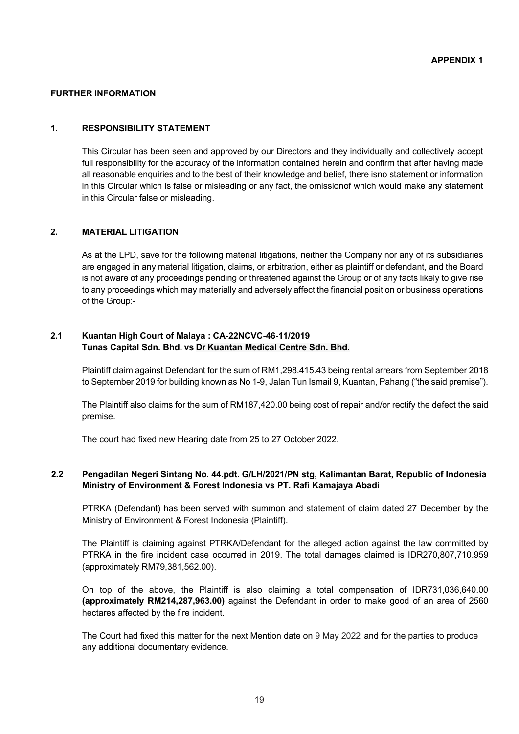#### **FURTHER INFORMATION**

#### **1. RESPONSIBILITY STATEMENT**

This Circular has been seen and approved by our Directors and they individually and collectively accept full responsibility for the accuracy of the information contained herein and confirm that after having made all reasonable enquiries and to the best of their knowledge and belief, there isno statement or information in this Circular which is false or misleading or any fact, the omissionof which would make any statement in this Circular false or misleading.

## **2. MATERIAL LITIGATION**

As at the LPD, save for the following material litigations, neither the Company nor any of its subsidiaries are engaged in any material litigation, claims, or arbitration, either as plaintiff or defendant, and the Board is not aware of any proceedings pending or threatened against the Group or of any facts likely to give rise to any proceedings which may materially and adversely affect the financial position or business operations of the Group:-

#### **2.1 Kuantan High Court of Malaya : CA-22NCVC-46-11/2019 Tunas Capital Sdn. Bhd. vs Dr Kuantan Medical Centre Sdn. Bhd.**

Plaintiff claim against Defendant for the sum of RM1,298.415.43 being rental arrears from September 2018 to September 2019 for building known as No 1-9, Jalan Tun Ismail 9, Kuantan, Pahang ("the said premise").

The Plaintiff also claims for the sum of RM187,420.00 being cost of repair and/or rectify the defect the said premise.

The court had fixed new Hearing date from 25 to 27 October 2022.

## **2.2 Pengadilan Negeri Sintang No. 44.pdt. G/LH/2021/PN stg, Kalimantan Barat, Republic of Indonesia Ministry of Environment & Forest Indonesia vs PT. Rafi Kamajaya Abadi**

PTRKA (Defendant) has been served with summon and statement of claim dated 27 December by the Ministry of Environment & Forest Indonesia (Plaintiff).

The Plaintiff is claiming against PTRKA/Defendant for the alleged action against the law committed by PTRKA in the fire incident case occurred in 2019. The total damages claimed is IDR270,807,710.959 (approximately RM79,381,562.00).

On top of the above, the Plaintiff is also claiming a total compensation of IDR731,036,640.00 **(approximately RM214,287,963.00)** against the Defendant in order to make good of an area of 2560 hectares affected by the fire incident.

The Court had fixed this matter for the next Mention date on 9 May 2022 and for the parties to produce any additional documentary evidence.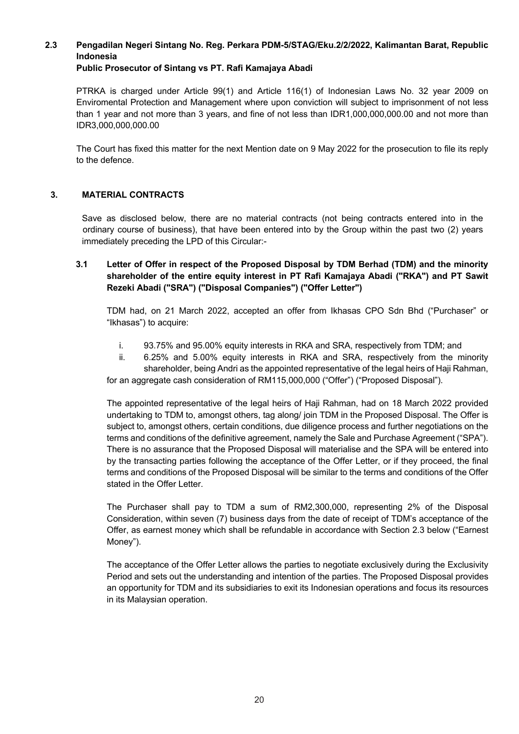# **2.3 Pengadilan Negeri Sintang No. Reg. Perkara PDM-5/STAG/Eku.2/2/2022, Kalimantan Barat, Republic Indonesia**

# **Public Prosecutor of Sintang vs PT. Rafi Kamajaya Abadi**

PTRKA is charged under Article 99(1) and Article 116(1) of Indonesian Laws No. 32 year 2009 on Enviromental Protection and Management where upon conviction will subject to imprisonment of not less than 1 year and not more than 3 years, and fine of not less than IDR1,000,000,000.00 and not more than IDR3,000,000,000.00

The Court has fixed this matter for the next Mention date on 9 May 2022 for the prosecution to file its reply to the defence.

## **3. MATERIAL CONTRACTS**

Save as disclosed below, there are no material contracts (not being contracts entered into in the ordinary course of business), that have been entered into by the Group within the past two (2) years immediately preceding the LPD of this Circular:-

## **3.1 Letter of Offer in respect of the Proposed Disposal by TDM Berhad (TDM) and the minority shareholder of the entire equity interest in PT Rafi Kamajaya Abadi ("RKA") and PT Sawit Rezeki Abadi ("SRA") ("Disposal Companies") ("Offer Letter")**

TDM had, on 21 March 2022, accepted an offer from Ikhasas CPO Sdn Bhd ("Purchaser" or "Ikhasas") to acquire:

- i. 93.75% and 95.00% equity interests in RKA and SRA, respectively from TDM; and
- ii. 6.25% and 5.00% equity interests in RKA and SRA, respectively from the minority shareholder, being Andri as the appointed representative of the legal heirs of Haji Rahman, for an aggregate cash consideration of RM115,000,000 ("Offer") ("Proposed Disposal").

The appointed representative of the legal heirs of Haji Rahman, had on 18 March 2022 provided undertaking to TDM to, amongst others, tag along/ join TDM in the Proposed Disposal. The Offer is subject to, amongst others, certain conditions, due diligence process and further negotiations on the terms and conditions of the definitive agreement, namely the Sale and Purchase Agreement ("SPA"). There is no assurance that the Proposed Disposal will materialise and the SPA will be entered into by the transacting parties following the acceptance of the Offer Letter, or if they proceed, the final terms and conditions of the Proposed Disposal will be similar to the terms and conditions of the Offer stated in the Offer Letter.

The Purchaser shall pay to TDM a sum of RM2,300,000, representing 2% of the Disposal Consideration, within seven (7) business days from the date of receipt of TDM's acceptance of the Offer, as earnest money which shall be refundable in accordance with Section 2.3 below ("Earnest Money").

The acceptance of the Offer Letter allows the parties to negotiate exclusively during the Exclusivity Period and sets out the understanding and intention of the parties. The Proposed Disposal provides an opportunity for TDM and its subsidiaries to exit its Indonesian operations and focus its resources in its Malaysian operation.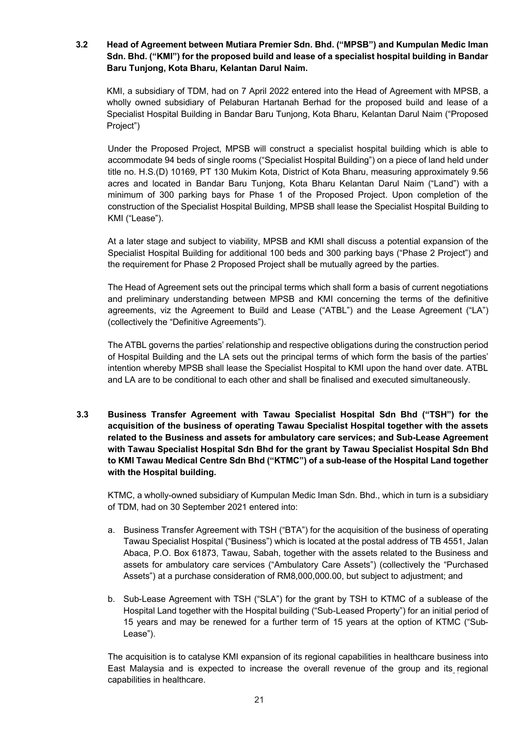## **3.2 Head of Agreement between Mutiara Premier Sdn. Bhd. ("MPSB") and Kumpulan Medic Iman Sdn. Bhd. ("KMI") for the proposed build and lease of a specialist hospital building in Bandar Baru Tunjong, Kota Bharu, Kelantan Darul Naim.**

KMI, a subsidiary of TDM, had on 7 April 2022 entered into the Head of Agreement with MPSB, a wholly owned subsidiary of Pelaburan Hartanah Berhad for the proposed build and lease of a Specialist Hospital Building in Bandar Baru Tunjong, Kota Bharu, Kelantan Darul Naim ("Proposed Project")

Under the Proposed Project, MPSB will construct a specialist hospital building which is able to accommodate 94 beds of single rooms ("Specialist Hospital Building") on a piece of land held under title no. H.S.(D) 10169, PT 130 Mukim Kota, District of Kota Bharu, measuring approximately 9.56 acres and located in Bandar Baru Tunjong, Kota Bharu Kelantan Darul Naim ("Land") with a minimum of 300 parking bays for Phase 1 of the Proposed Project. Upon completion of the construction of the Specialist Hospital Building, MPSB shall lease the Specialist Hospital Building to KMI ("Lease").

At a later stage and subject to viability, MPSB and KMI shall discuss a potential expansion of the Specialist Hospital Building for additional 100 beds and 300 parking bays ("Phase 2 Project") and the requirement for Phase 2 Proposed Project shall be mutually agreed by the parties.

The Head of Agreement sets out the principal terms which shall form a basis of current negotiations and preliminary understanding between MPSB and KMI concerning the terms of the definitive agreements, viz the Agreement to Build and Lease ("ATBL") and the Lease Agreement ("LA") (collectively the "Definitive Agreements").

The ATBL governs the parties' relationship and respective obligations during the construction period of Hospital Building and the LA sets out the principal terms of which form the basis of the parties' intention whereby MPSB shall lease the Specialist Hospital to KMI upon the hand over date. ATBL and LA are to be conditional to each other and shall be finalised and executed simultaneously.

**3.3 Business Transfer Agreement with Tawau Specialist Hospital Sdn Bhd ("TSH") for the acquisition of the business of operating Tawau Specialist Hospital together with the assets related to the Business and assets for ambulatory care services; and Sub-Lease Agreement with Tawau Specialist Hospital Sdn Bhd for the grant by Tawau Specialist Hospital Sdn Bhd to KMI Tawau Medical Centre Sdn Bhd ("KTMC") of a sub-lease of the Hospital Land together with the Hospital building.**

KTMC, a wholly-owned subsidiary of Kumpulan Medic Iman Sdn. Bhd., which in turn is a subsidiary of TDM, had on 30 September 2021 entered into:

- a. Business Transfer Agreement with TSH ("BTA") for the acquisition of the business of operating Tawau Specialist Hospital ("Business") which is located at the postal address of TB 4551, Jalan Abaca, P.O. Box 61873, Tawau, Sabah, together with the assets related to the Business and assets for ambulatory care services ("Ambulatory Care Assets") (collectively the "Purchased Assets") at a purchase consideration of RM8,000,000.00, but subject to adjustment; and
- b. Sub-Lease Agreement with TSH ("SLA") for the grant by TSH to KTMC of a sublease of the Hospital Land together with the Hospital building ("Sub-Leased Property") for an initial period of 15 years and may be renewed for a further term of 15 years at the option of KTMC ("Sub-Lease").

The acquisition is to catalyse KMI expansion of its regional capabilities in healthcare business into East Malaysia and is expected to increase the overall revenue of the group and its regional capabilities in healthcare.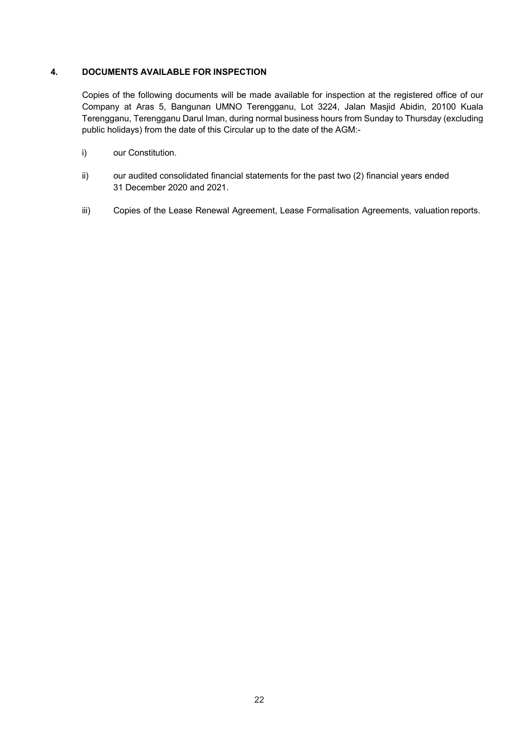## **4. DOCUMENTS AVAILABLE FOR INSPECTION**

Copies of the following documents will be made available for inspection at the registered office of our Company at Aras 5, Bangunan UMNO Terengganu, Lot 3224, Jalan Masjid Abidin, 20100 Kuala Terengganu, Terengganu Darul Iman, during normal business hours from Sunday to Thursday (excluding public holidays) from the date of this Circular up to the date of the AGM:-

- i) our Constitution.
- ii) our audited consolidated financial statements for the past two (2) financial years ended 31 December 2020 and 2021.
- iii) Copies of the Lease Renewal Agreement, Lease Formalisation Agreements, valuation reports.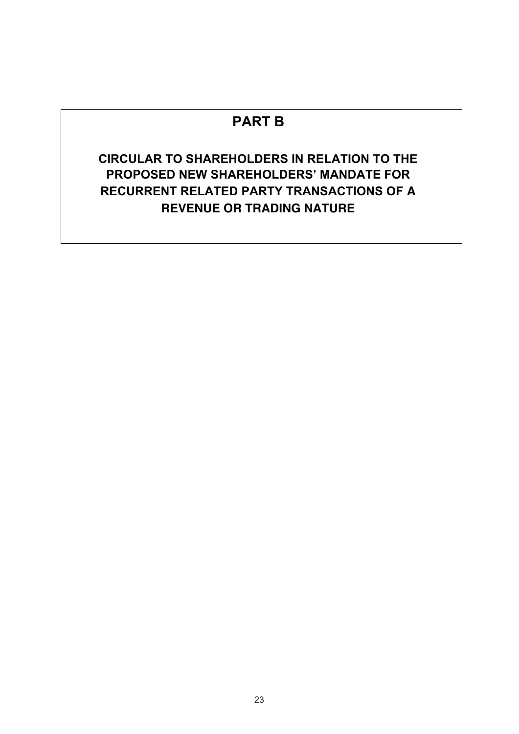# **PART B**

# **CIRCULAR TO SHAREHOLDERS IN RELATION TO THE PROPOSED NEW SHAREHOLDERS' MANDATE FOR RECURRENT RELATED PARTY TRANSACTIONS OF A REVENUE OR TRADING NATURE**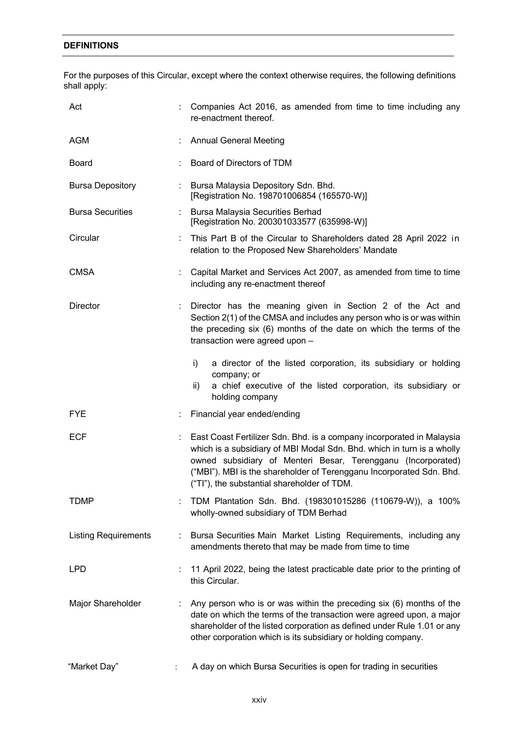# **DEFINITIONS**

For the purposes of this Circular, except where the context otherwise requires, the following definitions shall apply:

| Act                         |   | Companies Act 2016, as amended from time to time including any<br>re-enactment thereof.                                                                                                                                                                                                                                                  |
|-----------------------------|---|------------------------------------------------------------------------------------------------------------------------------------------------------------------------------------------------------------------------------------------------------------------------------------------------------------------------------------------|
| AGM                         |   | <b>Annual General Meeting</b>                                                                                                                                                                                                                                                                                                            |
| Board                       |   | Board of Directors of TDM                                                                                                                                                                                                                                                                                                                |
| <b>Bursa Depository</b>     |   | : Bursa Malaysia Depository Sdn. Bhd.<br>[Registration No. 198701006854 (165570-W)]                                                                                                                                                                                                                                                      |
| <b>Bursa Securities</b>     |   | : Bursa Malaysia Securities Berhad<br>[Registration No. 200301033577 (635998-W)]                                                                                                                                                                                                                                                         |
| Circular                    |   | : This Part B of the Circular to Shareholders dated 28 April 2022 in<br>relation to the Proposed New Shareholders' Mandate                                                                                                                                                                                                               |
| <b>CMSA</b>                 |   | Capital Market and Services Act 2007, as amended from time to time<br>including any re-enactment thereof                                                                                                                                                                                                                                 |
| <b>Director</b>             |   | : Director has the meaning given in Section 2 of the Act and<br>Section 2(1) of the CMSA and includes any person who is or was within<br>the preceding six (6) months of the date on which the terms of the<br>transaction were agreed upon -                                                                                            |
|                             |   | i)<br>a director of the listed corporation, its subsidiary or holding<br>company; or<br>a chief executive of the listed corporation, its subsidiary or<br>ii)<br>holding company                                                                                                                                                         |
| <b>FYE</b>                  |   | Financial year ended/ending                                                                                                                                                                                                                                                                                                              |
| <b>ECF</b>                  |   | : East Coast Fertilizer Sdn. Bhd. is a company incorporated in Malaysia<br>which is a subsidiary of MBI Modal Sdn. Bhd. which in turn is a wholly<br>owned subsidiary of Menteri Besar, Terengganu (Incorporated)<br>("MBI"). MBI is the shareholder of Terengganu Incorporated Sdn. Bhd.<br>("TI"), the substantial shareholder of TDM. |
| TDMP                        |   | TDM Plantation Sdn. Bhd. (198301015286 (110679-W)), a 100%<br>wholly-owned subsidiary of TDM Berhad                                                                                                                                                                                                                                      |
| <b>Listing Requirements</b> | ÷ | Bursa Securities Main Market Listing Requirements, including any<br>amendments thereto that may be made from time to time                                                                                                                                                                                                                |
| <b>LPD</b>                  |   | 11 April 2022, being the latest practicable date prior to the printing of<br>this Circular.                                                                                                                                                                                                                                              |
| Major Shareholder           | ÷ | Any person who is or was within the preceding six (6) months of the<br>date on which the terms of the transaction were agreed upon, a major<br>shareholder of the listed corporation as defined under Rule 1.01 or any<br>other corporation which is its subsidiary or holding company.                                                  |
| "Market Day"                |   | A day on which Bursa Securities is open for trading in securities                                                                                                                                                                                                                                                                        |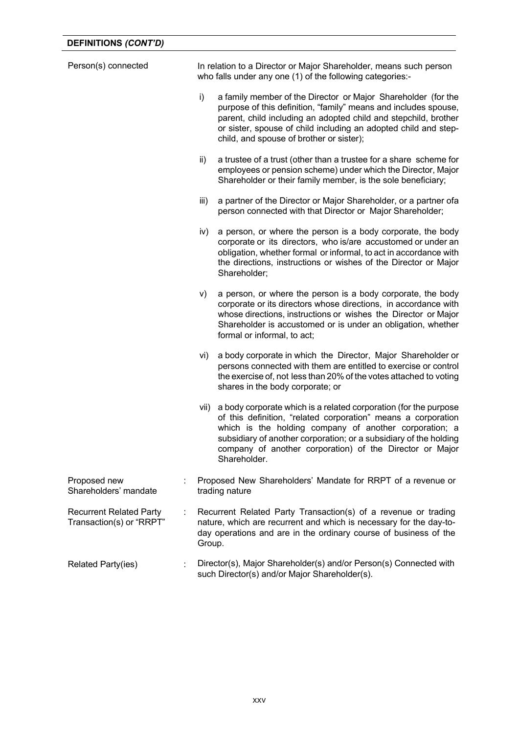| Person(s) connected                                        | In relation to a Director or Major Shareholder, means such person<br>who falls under any one (1) of the following categories:- |                                                                                                                                                                                                                                                                                                                                              |  |  |
|------------------------------------------------------------|--------------------------------------------------------------------------------------------------------------------------------|----------------------------------------------------------------------------------------------------------------------------------------------------------------------------------------------------------------------------------------------------------------------------------------------------------------------------------------------|--|--|
|                                                            | i)                                                                                                                             | a family member of the Director or Major Shareholder (for the<br>purpose of this definition, "family" means and includes spouse,<br>parent, child including an adopted child and stepchild, brother<br>or sister, spouse of child including an adopted child and step-<br>child, and spouse of brother or sister);                           |  |  |
|                                                            | ii)                                                                                                                            | a trustee of a trust (other than a trustee for a share scheme for<br>employees or pension scheme) under which the Director, Major<br>Shareholder or their family member, is the sole beneficiary;                                                                                                                                            |  |  |
|                                                            | iii)                                                                                                                           | a partner of the Director or Major Shareholder, or a partner ofa<br>person connected with that Director or Major Shareholder;                                                                                                                                                                                                                |  |  |
|                                                            | iv)                                                                                                                            | a person, or where the person is a body corporate, the body<br>corporate or its directors, who is/are accustomed or under an<br>obligation, whether formal or informal, to act in accordance with<br>the directions, instructions or wishes of the Director or Major<br>Shareholder;                                                         |  |  |
|                                                            | V)                                                                                                                             | a person, or where the person is a body corporate, the body<br>corporate or its directors whose directions, in accordance with<br>whose directions, instructions or wishes the Director or Major<br>Shareholder is accustomed or is under an obligation, whether<br>formal or informal, to act;                                              |  |  |
|                                                            | vi)                                                                                                                            | a body corporate in which the Director, Major Shareholder or<br>persons connected with them are entitled to exercise or control<br>the exercise of, not less than 20% of the votes attached to voting<br>shares in the body corporate; or                                                                                                    |  |  |
|                                                            | vii)                                                                                                                           | a body corporate which is a related corporation (for the purpose<br>of this definition, "related corporation" means a corporation<br>which is the holding company of another corporation; a<br>subsidiary of another corporation; or a subsidiary of the holding<br>company of another corporation) of the Director or Major<br>Shareholder. |  |  |
| Proposed new<br>Shareholders' mandate                      |                                                                                                                                | Proposed New Shareholders' Mandate for RRPT of a revenue or<br>trading nature                                                                                                                                                                                                                                                                |  |  |
| <b>Recurrent Related Party</b><br>Transaction(s) or "RRPT" | Group.                                                                                                                         | Recurrent Related Party Transaction(s) of a revenue or trading<br>nature, which are recurrent and which is necessary for the day-to-<br>day operations and are in the ordinary course of business of the                                                                                                                                     |  |  |
| <b>Related Party(ies)</b>                                  |                                                                                                                                | Director(s), Major Shareholder(s) and/or Person(s) Connected with<br>such Director(s) and/or Major Shareholder(s).                                                                                                                                                                                                                           |  |  |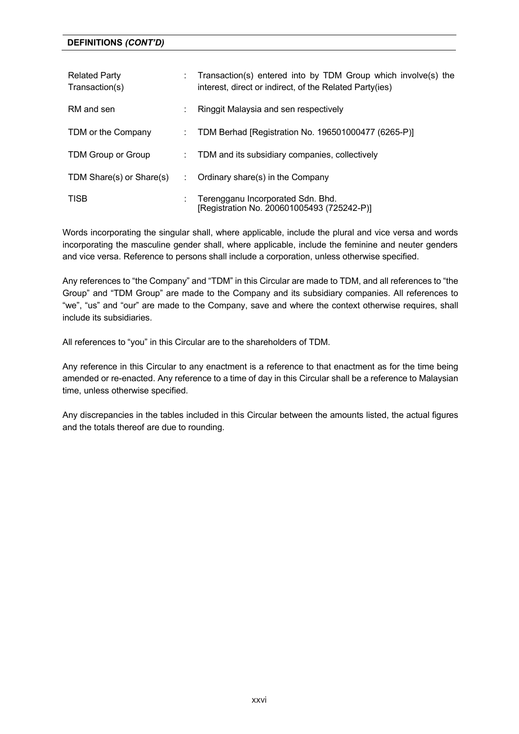| <b>Related Party</b><br>Transaction(s) |   | Transaction(s) entered into by TDM Group which involve(s) the<br>interest, direct or indirect, of the Related Party(ies) |
|----------------------------------------|---|--------------------------------------------------------------------------------------------------------------------------|
| RM and sen                             |   | Ringgit Malaysia and sen respectively                                                                                    |
| TDM or the Company                     |   | TDM Berhad [Registration No. 196501000477 (6265-P)]                                                                      |
| TDM Group or Group                     | ÷ | TDM and its subsidiary companies, collectively                                                                           |
| TDM Share(s) or Share(s)               |   | Ordinary share(s) in the Company                                                                                         |
| <b>TISB</b>                            |   | Terengganu Incorporated Sdn. Bhd.<br>[Registration No. 200601005493 (725242-P)]                                          |

Words incorporating the singular shall, where applicable, include the plural and vice versa and words incorporating the masculine gender shall, where applicable, include the feminine and neuter genders and vice versa. Reference to persons shall include a corporation, unless otherwise specified.

Any references to "the Company" and "TDM" in this Circular are made to TDM, and all references to "the Group" and "TDM Group" are made to the Company and its subsidiary companies. All references to "we", "us" and "our" are made to the Company, save and where the context otherwise requires, shall include its subsidiaries.

All references to "you" in this Circular are to the shareholders of TDM.

Any reference in this Circular to any enactment is a reference to that enactment as for the time being amended or re-enacted. Any reference to a time of day in this Circular shall be a reference to Malaysian time, unless otherwise specified.

Any discrepancies in the tables included in this Circular between the amounts listed, the actual figures and the totals thereof are due to rounding.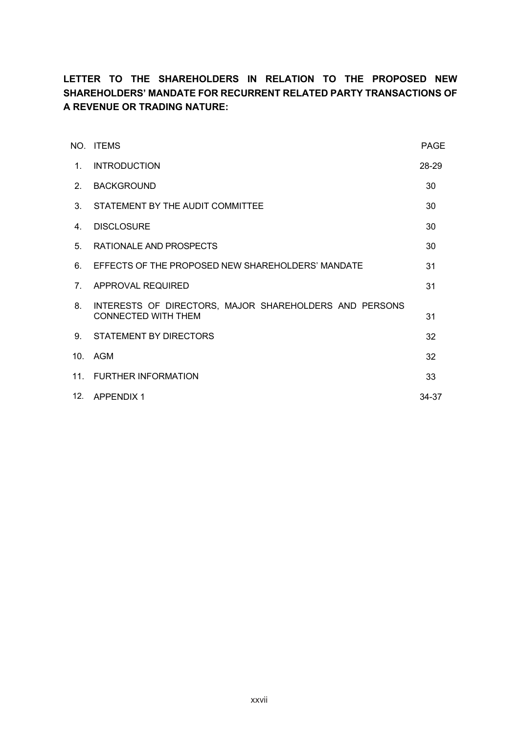# **LETTER TO THE SHAREHOLDERS IN RELATION TO THE PROPOSED NEW SHAREHOLDERS' MANDATE FOR RECURRENT RELATED PARTY TRANSACTIONS OF A REVENUE OR TRADING NATURE:**

|                                | NO ITEMS                                                                      | <b>PAGE</b> |
|--------------------------------|-------------------------------------------------------------------------------|-------------|
| $1_{-}$                        | <b>INTRODUCTION</b>                                                           | 28-29       |
| 2 <sub>1</sub>                 | <b>BACKGROUND</b>                                                             | 30          |
| $3_{-}$                        | STATEMENT BY THE AUDIT COMMITTEE                                              | 30          |
| $4_{\cdot}$                    | <b>DISCLOSURE</b>                                                             | 30          |
| 5.                             | RATIONALE AND PROSPECTS                                                       | 30          |
| 6.                             | EFFECTS OF THE PROPOSED NEW SHAREHOLDERS' MANDATE                             | 31          |
| $7_{\scriptscriptstyle{\sim}}$ | APPROVAL REQUIRED                                                             | 31          |
| 8.                             | INTERESTS OF DIRECTORS, MAJOR SHAREHOLDERS AND PERSONS<br>CONNECTED WITH THEM | 31          |
|                                | 9. STATEMENT BY DIRECTORS                                                     | 32          |
| 10 <sub>1</sub>                | AGM                                                                           | 32          |
|                                | 11. FURTHER INFORMATION                                                       | 33          |
|                                | 12. APPENDIX 1                                                                | 34-37       |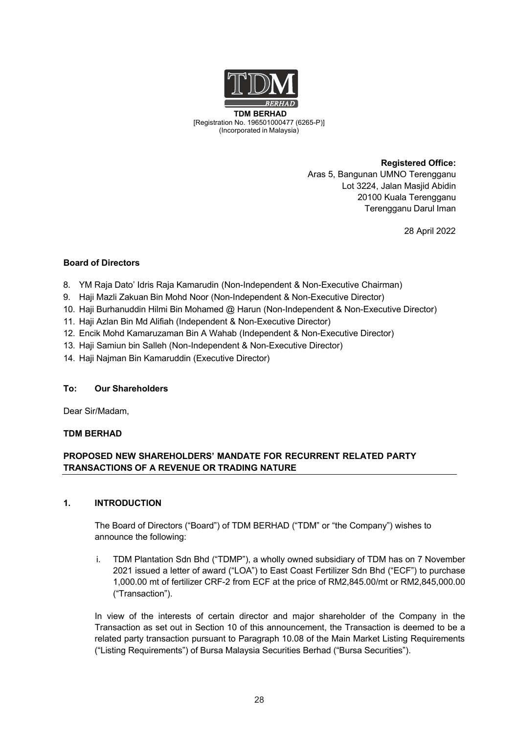

**TDM BERHAD** (6265-P)[Registration No. 196501000477 (6265-P)] (Incorporated in Malaysia)

> **Registered Office:** Aras 5, Bangunan UMNO Terengganu Lot 3224, Jalan Masjid Abidin 20100 Kuala Terengganu Terengganu Darul Iman

> > 28 April 2022

## **Board of Directors**

- 8. YM Raja Dato' Idris Raja Kamarudin (Non-Independent & Non-Executive Chairman)
- 9. Haji Mazli Zakuan Bin Mohd Noor (Non-Independent & Non-Executive Director)
- 10. Haji Burhanuddin Hilmi Bin Mohamed @ Harun (Non-Independent & Non-Executive Director)
- 11. Haji Azlan Bin Md Alifiah (Independent & Non-Executive Director)
- 12. Encik Mohd Kamaruzaman Bin A Wahab (Independent & Non-Executive Director)
- 13. Haji Samiun bin Salleh (Non-Independent & Non-Executive Director)
- 14. Haji Najman Bin Kamaruddin (Executive Director)

## **To: Our Shareholders**

Dear Sir/Madam,

## **TDM BERHAD**

## **PROPOSED NEW SHAREHOLDERS' MANDATE FOR RECURRENT RELATED PARTY TRANSACTIONS OF A REVENUE OR TRADING NATURE**

## **1. INTRODUCTION**

The Board of Directors ("Board") of TDM BERHAD ("TDM" or "the Company") wishes to announce the following:

i. TDM Plantation Sdn Bhd ("TDMP"), a wholly owned subsidiary of TDM has on 7 November 2021 issued a letter of award ("LOA") to East Coast Fertilizer Sdn Bhd ("ECF") to purchase 1,000.00 mt of fertilizer CRF-2 from ECF at the price of RM2,845.00/mt or RM2,845,000.00 ("Transaction").

In view of the interests of certain director and major shareholder of the Company in the Transaction as set out in Section 10 of this announcement, the Transaction is deemed to be a related party transaction pursuant to Paragraph 10.08 of the Main Market Listing Requirements ("Listing Requirements") of Bursa Malaysia Securities Berhad ("Bursa Securities").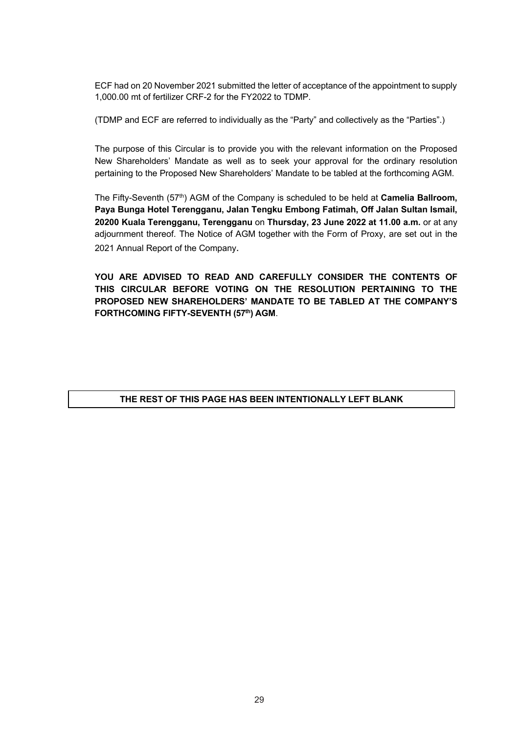ECF had on 20 November 2021 submitted the letter of acceptance of the appointment to supply 1,000.00 mt of fertilizer CRF-2 for the FY2022 to TDMP.

(TDMP and ECF are referred to individually as the "Party" and collectively as the "Parties".)

The purpose of this Circular is to provide you with the relevant information on the Proposed New Shareholders' Mandate as well as to seek your approval for the ordinary resolution pertaining to the Proposed New Shareholders' Mandate to be tabled at the forthcoming AGM.

The Fifty-Seventh (57<sup>th</sup>) AGM of the Company is scheduled to be held at **Camelia Ballroom. Paya Bunga Hotel Terengganu, Jalan Tengku Embong Fatimah, Off Jalan Sultan Ismail, 20200 Kuala Terengganu, Terengganu** on **Thursday, 23 June 2022 at 11.00 a.m.** or at any adjournment thereof. The Notice of AGM together with the Form of Proxy, are set out in the 2021 Annual Report of the Company.

**YOU ARE ADVISED TO READ AND CAREFULLY CONSIDER THE CONTENTS OF THIS CIRCULAR BEFORE VOTING ON THE RESOLUTION PERTAINING TO THE PROPOSED NEW SHAREHOLDERS' MANDATE TO BE TABLED AT THE COMPANY'S FORTHCOMING FIFTY-SEVENTH (57th) AGM**.

## **THE REST OF THIS PAGE HAS BEEN INTENTIONALLY LEFT BLANK**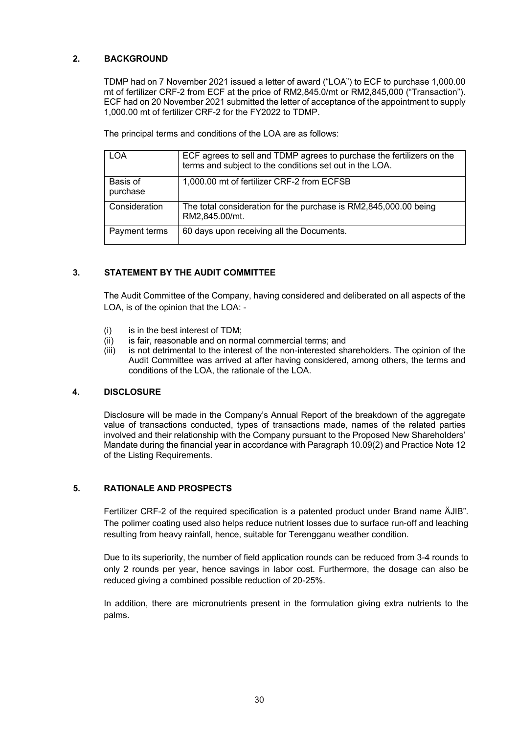## **2. BACKGROUND**

TDMP had on 7 November 2021 issued a letter of award ("LOA") to ECF to purchase 1,000.00 mt of fertilizer CRF-2 from ECF at the price of RM2,845.0/mt or RM2,845,000 ("Transaction"). ECF had on 20 November 2021 submitted the letter of acceptance of the appointment to supply 1,000.00 mt of fertilizer CRF-2 for the FY2022 to TDMP.

The principal terms and conditions of the LOA are as follows:

| <b>LOA</b>           | ECF agrees to sell and TDMP agrees to purchase the fertilizers on the<br>terms and subject to the conditions set out in the LOA. |
|----------------------|----------------------------------------------------------------------------------------------------------------------------------|
| Basis of<br>purchase | 1,000.00 mt of fertilizer CRF-2 from ECFSB                                                                                       |
| Consideration        | The total consideration for the purchase is RM2,845,000.00 being<br>RM2,845.00/mt.                                               |
| Payment terms        | 60 days upon receiving all the Documents.                                                                                        |

## **3. STATEMENT BY THE AUDIT COMMITTEE**

The Audit Committee of the Company, having considered and deliberated on all aspects of the LOA, is of the opinion that the LOA: -

- (i) is in the best interest of TDM;
- $(iii)$  is fair, reasonable and on normal commercial terms; and
- (iii) is not detrimental to the interest of the non-interested shareholders. The opinion of the Audit Committee was arrived at after having considered, among others, the terms and conditions of the LOA, the rationale of the LOA.

## **4. DISCLOSURE**

Disclosure will be made in the Company's Annual Report of the breakdown of the aggregate value of transactions conducted, types of transactions made, names of the related parties involved and their relationship with the Company pursuant to the Proposed New Shareholders' Mandate during the financial year in accordance with Paragraph 10.09(2) and Practice Note 12 of the Listing Requirements.

## **5. RATIONALE AND PROSPECTS**

Fertilizer CRF-2 of the required specification is a patented product under Brand name ÄJIB". The polimer coating used also helps reduce nutrient losses due to surface run-off and leaching resulting from heavy rainfall, hence, suitable for Terengganu weather condition.

Due to its superiority, the number of field application rounds can be reduced from 3-4 rounds to only 2 rounds per year, hence savings in labor cost. Furthermore, the dosage can also be reduced giving a combined possible reduction of 20-25%.

In addition, there are micronutrients present in the formulation giving extra nutrients to the palms.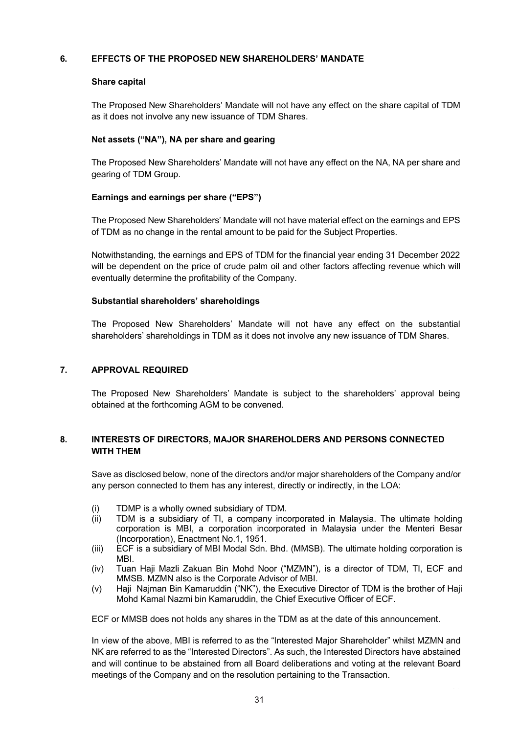## **6. EFFECTS OF THE PROPOSED NEW SHAREHOLDERS' MANDATE**

## **Share capital**

The Proposed New Shareholders' Mandate will not have any effect on the share capital of TDM as it does not involve any new issuance of TDM Shares.

## **Net assets ("NA"), NA per share and gearing**

The Proposed New Shareholders' Mandate will not have any effect on the NA, NA per share and gearing of TDM Group.

## **Earnings and earnings per share ("EPS")**

The Proposed New Shareholders' Mandate will not have material effect on the earnings and EPS of TDM as no change in the rental amount to be paid for the Subject Properties.

Notwithstanding, the earnings and EPS of TDM for the financial year ending 31 December 2022 will be dependent on the price of crude palm oil and other factors affecting revenue which will eventually determine the profitability of the Company.

## **Substantial shareholders' shareholdings**

The Proposed New Shareholders' Mandate will not have any effect on the substantial shareholders' shareholdings in TDM as it does not involve any new issuance of TDM Shares.

## **7. APPROVAL REQUIRED**

The Proposed New Shareholders' Mandate is subject to the shareholders' approval being obtained at the forthcoming AGM to be convened.

## **8. INTERESTS OF DIRECTORS, MAJOR SHAREHOLDERS AND PERSONS CONNECTED WITH THEM**

Save as disclosed below, none of the directors and/or major shareholders of the Company and/or any person connected to them has any interest, directly or indirectly, in the LOA:

- (i) TDMP is a wholly owned subsidiary of TDM.<br>(ii) TDM is a subsidiary of Tl. a company inc
- TDM is a subsidiary of TI, a company incorporated in Malaysia. The ultimate holding corporation is MBI, a corporation incorporated in Malaysia under the Menteri Besar (Incorporation), Enactment No.1, 1951.
- (iii) ECF is a subsidiary of MBI Modal Sdn. Bhd. (MMSB). The ultimate holding corporation is MBI.
- (iv) Tuan Haji Mazli Zakuan Bin Mohd Noor ("MZMN"), is a director of TDM, TI, ECF and MMSB. MZMN also is the Corporate Advisor of MBI.
- (v) Haji Najman Bin Kamaruddin ("NK"), the Executive Director of TDM is the brother of Haji Mohd Kamal Nazmi bin Kamaruddin, the Chief Executive Officer of ECF.

ECF or MMSB does not holds any shares in the TDM as at the date of this announcement.

In view of the above, MBI is referred to as the "Interested Major Shareholder" whilst MZMN and NK are referred to as the "Interested Directors". As such, the Interested Directors have abstained and will continue to be abstained from all Board deliberations and voting at the relevant Board meetings of the Company and on the resolution pertaining to the Transaction.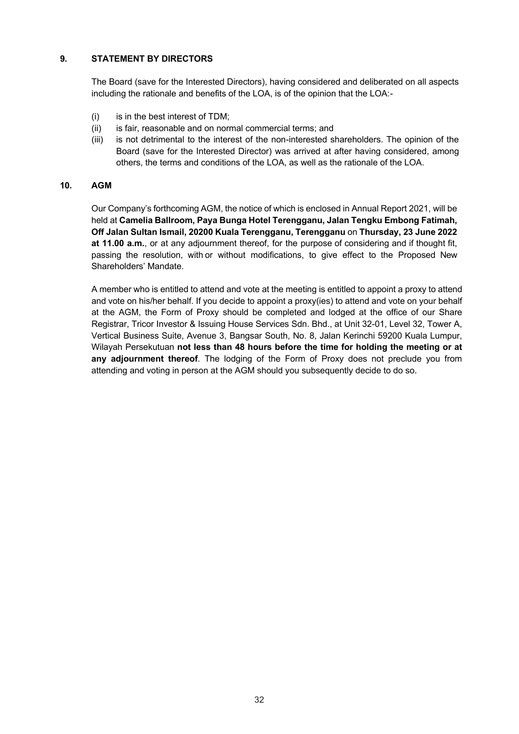## **9. STATEMENT BY DIRECTORS**

The Board (save for the Interested Directors), having considered and deliberated on all aspects including the rationale and benefits of the LOA, is of the opinion that the LOA:-

- (i) is in the best interest of TDM;
- (ii) is fair, reasonable and on normal commercial terms; and
- (iii) is not detrimental to the interest of the non-interested shareholders. The opinion of the Board (save for the Interested Director) was arrived at after having considered, among others, the terms and conditions of the LOA, as well as the rationale of the LOA.

## **10. AGM**

Our Company's forthcoming AGM, the notice of which is enclosed in Annual Report 2021, will be held at **Camelia Ballroom, Paya Bunga Hotel Terengganu, Jalan Tengku Embong Fatimah, Off Jalan Sultan Ismail, 20200 Kuala Terengganu, Terengganu** on **Thursday, 23 June 2022 at 11.00 a.m.**, or at any adjournment thereof, for the purpose of considering and if thought fit, passing the resolution, with or without modifications, to give effect to the Proposed New Shareholders' Mandate.

A member who is entitled to attend and vote at the meeting is entitled to appoint a proxy to attend and vote on his/her behalf. If you decide to appoint a proxy(ies) to attend and vote on your behalf at the AGM, the Form of Proxy should be completed and lodged at the office of our Share Registrar, Tricor Investor & Issuing House Services Sdn. Bhd., at Unit 32-01, Level 32, Tower A, Vertical Business Suite, Avenue 3, Bangsar South, No. 8, Jalan Kerinchi 59200 Kuala Lumpur, Wilayah Persekutuan **not less than 48 hours before the time for holding the meeting or at any adjournment thereof**. The lodging of the Form of Proxy does not preclude you from attending and voting in person at the AGM should you subsequently decide to do so.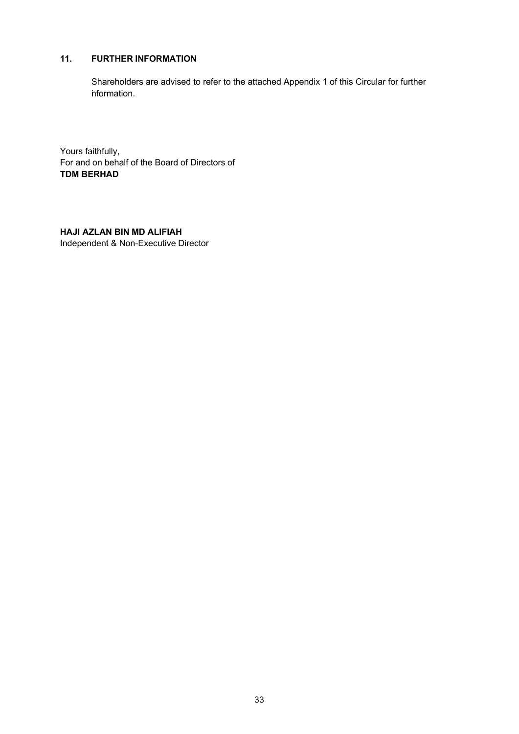## **11. FURTHER INFORMATION**

Shareholders are advised to refer to the attached Appendix 1 of this Circular for further information.

Yours faithfully, For and on behalf of the Board of Directors of **TDM BERHAD**

**HAJI AZLAN BIN MD ALIFIAH** Independent & Non-Executive Director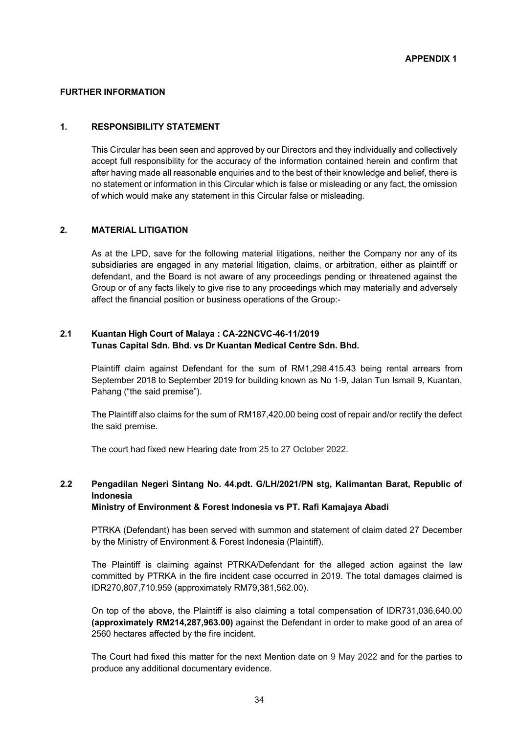#### **FURTHER INFORMATION**

#### **1. RESPONSIBILITY STATEMENT**

This Circular has been seen and approved by our Directors and they individually and collectively accept full responsibility for the accuracy of the information contained herein and confirm that after having made all reasonable enquiries and to the best of their knowledge and belief, there is no statement or information in this Circular which is false or misleading or any fact, the omission of which would make any statement in this Circular false or misleading.

#### **2. MATERIAL LITIGATION**

As at the LPD, save for the following material litigations, neither the Company nor any of its subsidiaries are engaged in any material litigation, claims, or arbitration, either as plaintiff or defendant, and the Board is not aware of any proceedings pending or threatened against the Group or of any facts likely to give rise to any proceedings which may materially and adversely affect the financial position or business operations of the Group:-

## **2.1 Kuantan High Court of Malaya : CA-22NCVC-46-11/2019 Tunas Capital Sdn. Bhd. vs Dr Kuantan Medical Centre Sdn. Bhd.**

Plaintiff claim against Defendant for the sum of RM1,298.415.43 being rental arrears from September 2018 to September 2019 for building known as No 1-9, Jalan Tun Ismail 9, Kuantan, Pahang ("the said premise").

The Plaintiff also claims for the sum of RM187,420.00 being cost of repair and/or rectify the defect the said premise.

The court had fixed new Hearing date from 25 to 27 October 2022.

# **2.2 Pengadilan Negeri Sintang No. 44.pdt. G/LH/2021/PN stg, Kalimantan Barat, Republic of Indonesia**

#### **Ministry of Environment & Forest Indonesia vs PT. Rafi Kamajaya Abadi**

PTRKA (Defendant) has been served with summon and statement of claim dated 27 December by the Ministry of Environment & Forest Indonesia (Plaintiff).

The Plaintiff is claiming against PTRKA/Defendant for the alleged action against the law committed by PTRKA in the fire incident case occurred in 2019. The total damages claimed is IDR270,807,710.959 (approximately RM79,381,562.00).

On top of the above, the Plaintiff is also claiming a total compensation of IDR731,036,640.00 **(approximately RM214,287,963.00)** against the Defendant in order to make good of an area of 2560 hectares affected by the fire incident.

The Court had fixed this matter for the next Mention date on 9 May 2022 and for the parties to produce any additional documentary evidence.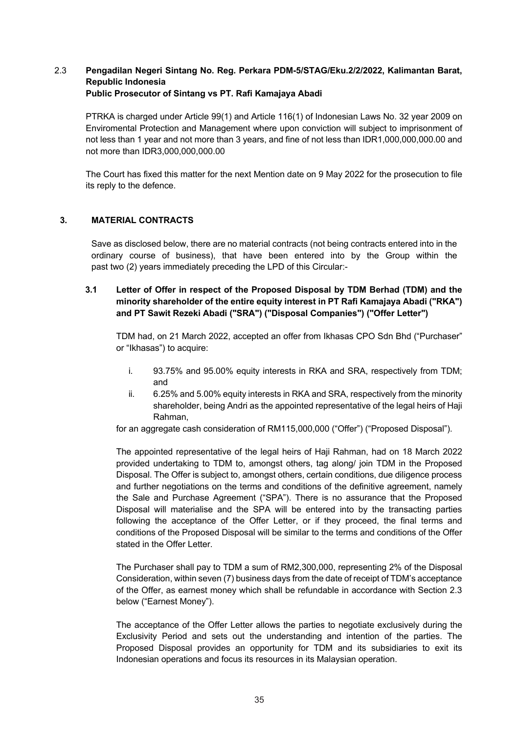## 2.3 **Pengadilan Negeri Sintang No. Reg. Perkara PDM-5/STAG/Eku.2/2/2022, Kalimantan Barat, Republic Indonesia Public Prosecutor of Sintang vs PT. Rafi Kamajaya Abadi**

PTRKA is charged under Article 99(1) and Article 116(1) of Indonesian Laws No. 32 year 2009 on Enviromental Protection and Management where upon conviction will subject to imprisonment of not less than 1 year and not more than 3 years, and fine of not less than IDR1,000,000,000.00 and not more than IDR3,000,000,000.00

The Court has fixed this matter for the next Mention date on 9 May 2022 for the prosecution to file its reply to the defence.

## **3. MATERIAL CONTRACTS**

Save as disclosed below, there are no material contracts (not being contracts entered into in the ordinary course of business), that have been entered into by the Group within the past two (2) years immediately preceding the LPD of this Circular:-

## **3.1 Letter of Offer in respect of the Proposed Disposal by TDM Berhad (TDM) and the minority shareholder of the entire equity interest in PT Rafi Kamajaya Abadi ("RKA") and PT Sawit Rezeki Abadi ("SRA") ("Disposal Companies") ("Offer Letter")**

TDM had, on 21 March 2022, accepted an offer from Ikhasas CPO Sdn Bhd ("Purchaser" or "Ikhasas") to acquire:

- i. 93.75% and 95.00% equity interests in RKA and SRA, respectively from TDM; and
- ii. 6.25% and 5.00% equity interests in RKA and SRA, respectively from the minority shareholder, being Andri as the appointed representative of the legal heirs of Haji Rahman,

for an aggregate cash consideration of RM115,000,000 ("Offer") ("Proposed Disposal").

The appointed representative of the legal heirs of Haji Rahman, had on 18 March 2022 provided undertaking to TDM to, amongst others, tag along/ join TDM in the Proposed Disposal. The Offer is subject to, amongst others, certain conditions, due diligence process and further negotiations on the terms and conditions of the definitive agreement, namely the Sale and Purchase Agreement ("SPA"). There is no assurance that the Proposed Disposal will materialise and the SPA will be entered into by the transacting parties following the acceptance of the Offer Letter, or if they proceed, the final terms and conditions of the Proposed Disposal will be similar to the terms and conditions of the Offer stated in the Offer Letter.

The Purchaser shall pay to TDM a sum of RM2,300,000, representing 2% of the Disposal Consideration, within seven (7) business days from the date of receipt of TDM's acceptance of the Offer, as earnest money which shall be refundable in accordance with Section 2.3 below ("Earnest Money").

The acceptance of the Offer Letter allows the parties to negotiate exclusively during the Exclusivity Period and sets out the understanding and intention of the parties. The Proposed Disposal provides an opportunity for TDM and its subsidiaries to exit its Indonesian operations and focus its resources in its Malaysian operation.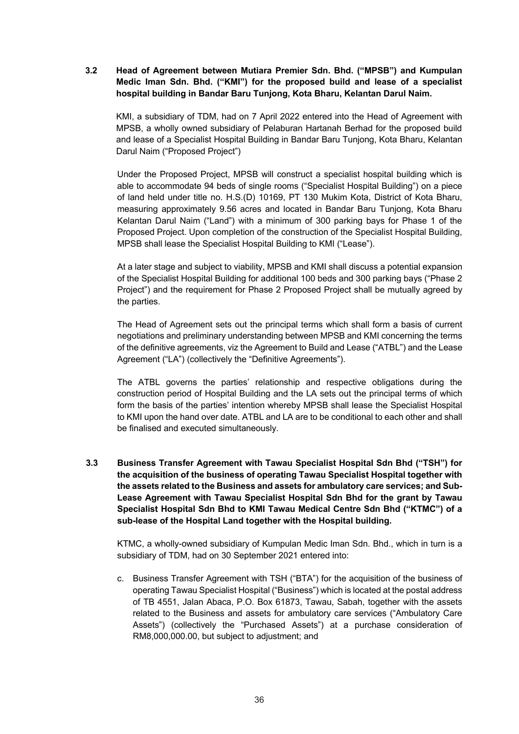## **3.2 Head of Agreement between Mutiara Premier Sdn. Bhd. ("MPSB") and Kumpulan Medic Iman Sdn. Bhd. ("KMI") for the proposed build and lease of a specialist hospital building in Bandar Baru Tunjong, Kota Bharu, Kelantan Darul Naim.**

KMI, a subsidiary of TDM, had on 7 April 2022 entered into the Head of Agreement with MPSB, a wholly owned subsidiary of Pelaburan Hartanah Berhad for the proposed build and lease of a Specialist Hospital Building in Bandar Baru Tunjong, Kota Bharu, Kelantan Darul Naim ("Proposed Project")

Under the Proposed Project, MPSB will construct a specialist hospital building which is able to accommodate 94 beds of single rooms ("Specialist Hospital Building") on a piece of land held under title no. H.S.(D) 10169, PT 130 Mukim Kota, District of Kota Bharu, measuring approximately 9.56 acres and located in Bandar Baru Tunjong, Kota Bharu Kelantan Darul Naim ("Land") with a minimum of 300 parking bays for Phase 1 of the Proposed Project. Upon completion of the construction of the Specialist Hospital Building, MPSB shall lease the Specialist Hospital Building to KMI ("Lease").

At a later stage and subject to viability, MPSB and KMI shall discuss a potential expansion of the Specialist Hospital Building for additional 100 beds and 300 parking bays ("Phase 2 Project") and the requirement for Phase 2 Proposed Project shall be mutually agreed by the parties.

The Head of Agreement sets out the principal terms which shall form a basis of current negotiations and preliminary understanding between MPSB and KMI concerning the terms of the definitive agreements, viz the Agreement to Build and Lease ("ATBL") and the Lease Agreement ("LA") (collectively the "Definitive Agreements").

The ATBL governs the parties' relationship and respective obligations during the construction period of Hospital Building and the LA sets out the principal terms of which form the basis of the parties' intention whereby MPSB shall lease the Specialist Hospital to KMI upon the hand over date. ATBL and LA are to be conditional to each other and shall be finalised and executed simultaneously.

**3.3 Business Transfer Agreement with Tawau Specialist Hospital Sdn Bhd ("TSH") for the acquisition of the business of operating Tawau Specialist Hospital together with the assets related to the Business and assets for ambulatory care services; and Sub-Lease Agreement with Tawau Specialist Hospital Sdn Bhd for the grant by Tawau Specialist Hospital Sdn Bhd to KMI Tawau Medical Centre Sdn Bhd ("KTMC") of a sub-lease of the Hospital Land together with the Hospital building.**

KTMC, a wholly-owned subsidiary of Kumpulan Medic Iman Sdn. Bhd., which in turn is a subsidiary of TDM, had on 30 September 2021 entered into:

c. Business Transfer Agreement with TSH ("BTA") for the acquisition of the business of operating Tawau Specialist Hospital ("Business") which is located at the postal address of TB 4551, Jalan Abaca, P.O. Box 61873, Tawau, Sabah, together with the assets related to the Business and assets for ambulatory care services ("Ambulatory Care Assets") (collectively the "Purchased Assets") at a purchase consideration of RM8,000,000.00, but subject to adjustment; and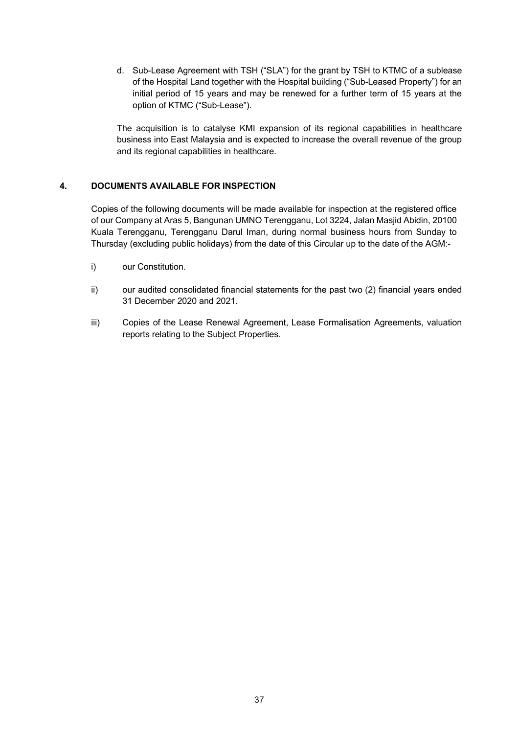d. Sub-Lease Agreement with TSH ("SLA") for the grant by TSH to KTMC of a sublease of the Hospital Land together with the Hospital building ("Sub-Leased Property") for an initial period of 15 years and may be renewed for a further term of 15 years at the option of KTMC ("Sub-Lease").

The acquisition is to catalyse KMI expansion of its regional capabilities in healthcare business into East Malaysia and is expected to increase the overall revenue of the group and its regional capabilities in healthcare.

## **4. DOCUMENTS AVAILABLE FOR INSPECTION**

Copies of the following documents will be made available for inspection at the registered office of our Company at Aras 5, Bangunan UMNO Terengganu, Lot 3224, Jalan Masjid Abidin, 20100 Kuala Terengganu, Terengganu Darul Iman, during normal business hours from Sunday to Thursday (excluding public holidays) from the date of this Circular up to the date of the AGM:-

- i) our Constitution.
- ii) our audited consolidated financial statements for the past two (2) financial years ended 31 December 2020 and 2021.
- iii) Copies of the Lease Renewal Agreement, Lease Formalisation Agreements, valuation reports relating to the Subject Properties.